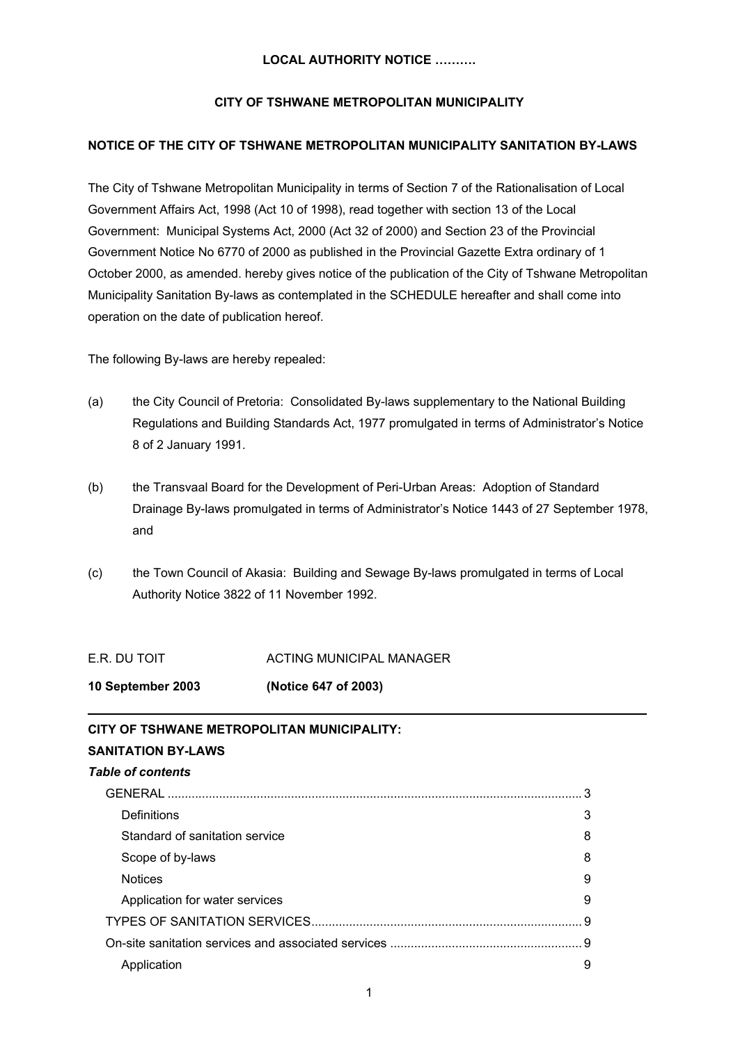# **CITY OF TSHWANE METROPOLITAN MUNICIPALITY**

# **NOTICE OF THE CITY OF TSHWANE METROPOLITAN MUNICIPALITY SANITATION BY-LAWS**

The City of Tshwane Metropolitan Municipality in terms of Section 7 of the Rationalisation of Local Government Affairs Act, 1998 (Act 10 of 1998), read together with section 13 of the Local Government: Municipal Systems Act, 2000 (Act 32 of 2000) and Section 23 of the Provincial Government Notice No 6770 of 2000 as published in the Provincial Gazette Extra ordinary of 1 October 2000, as amended. hereby gives notice of the publication of the City of Tshwane Metropolitan Municipality Sanitation By-laws as contemplated in the SCHEDULE hereafter and shall come into operation on the date of publication hereof.

The following By-laws are hereby repealed:

- (a) the City Council of Pretoria: Consolidated By-laws supplementary to the National Building Regulations and Building Standards Act, 1977 promulgated in terms of Administrator's Notice 8 of 2 January 1991.
- (b) the Transvaal Board for the Development of Peri-Urban Areas: Adoption of Standard Drainage By-laws promulgated in terms of Administrator's Notice 1443 of 27 September 1978, and
- (c) the Town Council of Akasia: Building and Sewage By-laws promulgated in terms of Local Authority Notice 3822 of 11 November 1992.

**\_\_\_\_\_\_\_\_\_\_\_\_\_\_\_\_\_\_\_\_\_\_\_\_\_\_\_\_\_\_\_\_\_\_\_\_\_\_\_\_\_\_\_\_\_\_\_\_\_\_\_\_\_\_\_\_\_\_\_\_\_\_\_\_\_\_\_\_\_\_\_\_\_\_\_\_\_\_\_\_\_**

E.R. DU TOIT ACTING MUNICIPAL MANAGER

**10 September 2003 (Notice 647 of 2003)**

# **CITY OF TSHWANE METROPOLITAN MUNICIPALITY:**

# **SANITATION BY-LAWS**  *Table of contents* GENERAL [......................................................................................................................... 3](#page-2-0) [Definitions 3](#page-2-0) [Standard of sanitation service](#page-7-0) 8 [Scope of by-laws 8](#page-7-0) [Notices 9](#page-8-0) Application for water services **9** and the set of the series of the series of the series of the series of the series of the series of the series of the series of the series of the series of the series of the series of the [TYPES OF SANITATION SERVICES...............................................................................](#page-8-0) 9 [On-site sanitation services and associated services](#page-8-0) ........................................................ 9 [Application](#page-8-0) 9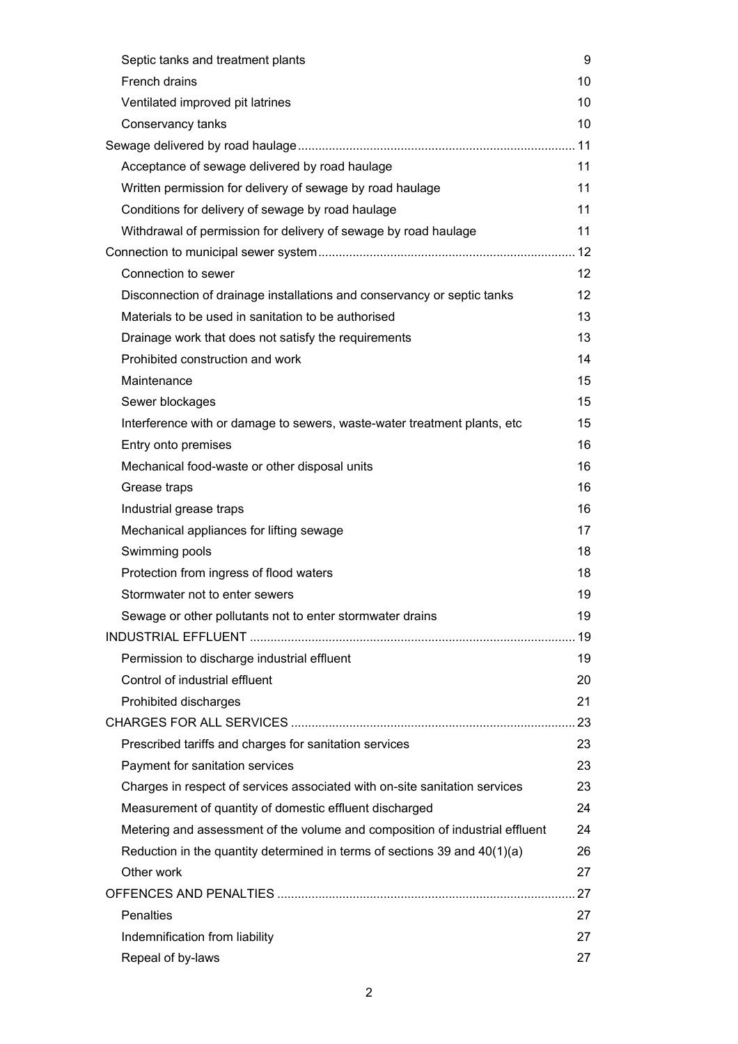| Septic tanks and treatment plants                                            | 9                 |
|------------------------------------------------------------------------------|-------------------|
| French drains                                                                | 10                |
| Ventilated improved pit latrines                                             | 10                |
| Conservancy tanks                                                            | 10                |
|                                                                              |                   |
| Acceptance of sewage delivered by road haulage                               | 11                |
| Written permission for delivery of sewage by road haulage                    | 11                |
| Conditions for delivery of sewage by road haulage                            | 11                |
| Withdrawal of permission for delivery of sewage by road haulage              | 11                |
|                                                                              |                   |
| Connection to sewer                                                          | $12 \overline{ }$ |
| Disconnection of drainage installations and conservancy or septic tanks      | $12 \overline{ }$ |
| Materials to be used in sanitation to be authorised                          | 13                |
| Drainage work that does not satisfy the requirements                         | 13                |
| Prohibited construction and work                                             | 14                |
| Maintenance                                                                  | 15                |
| Sewer blockages                                                              | 15                |
| Interference with or damage to sewers, waste-water treatment plants, etc     | 15                |
| Entry onto premises                                                          | 16                |
| Mechanical food-waste or other disposal units                                | 16                |
| Grease traps                                                                 | 16                |
| Industrial grease traps                                                      | 16                |
| Mechanical appliances for lifting sewage                                     | 17                |
| Swimming pools                                                               | 18                |
| Protection from ingress of flood waters                                      | 18                |
| Stormwater not to enter sewers                                               | 19                |
| Sewage or other pollutants not to enter stormwater drains                    | 19                |
|                                                                              |                   |
| Permission to discharge industrial effluent                                  | 19                |
| Control of industrial effluent                                               | 20                |
| Prohibited discharges                                                        | 21                |
|                                                                              |                   |
| Prescribed tariffs and charges for sanitation services                       | 23                |
| Payment for sanitation services                                              | 23                |
| Charges in respect of services associated with on-site sanitation services   | 23                |
| Measurement of quantity of domestic effluent discharged                      | 24                |
| Metering and assessment of the volume and composition of industrial effluent | 24                |
| Reduction in the quantity determined in terms of sections 39 and $40(1)(a)$  | 26                |
| Other work                                                                   | 27                |
|                                                                              |                   |
| <b>Penalties</b>                                                             | 27                |
| Indemnification from liability                                               | 27                |
| Repeal of by-laws                                                            | 27                |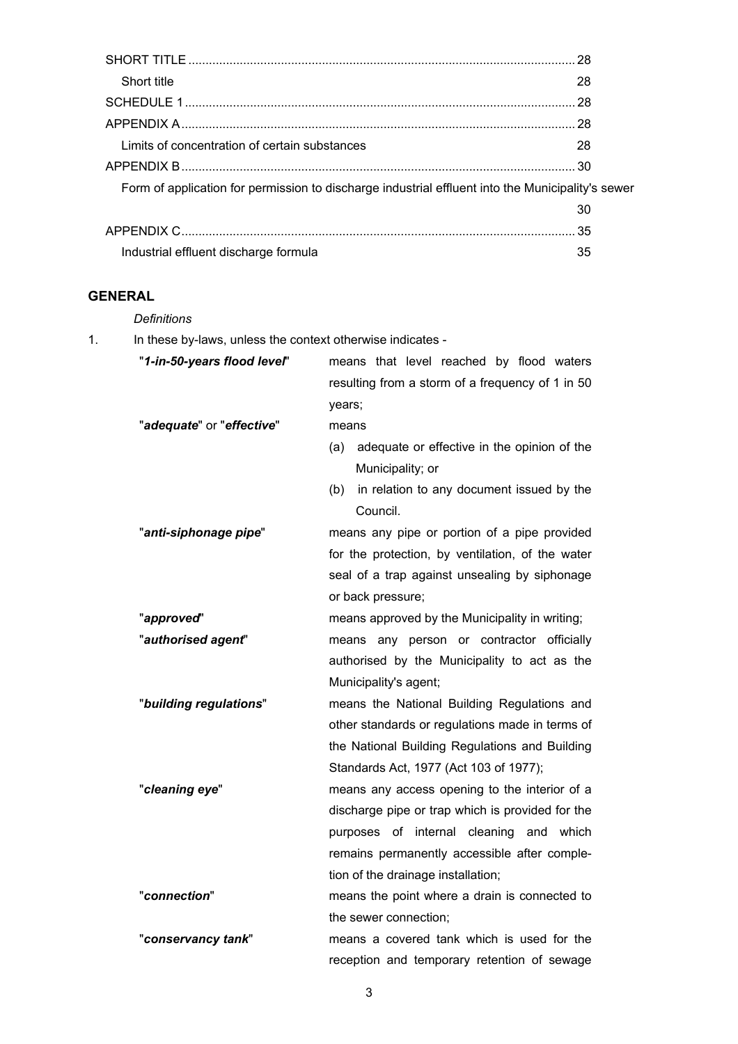<span id="page-2-0"></span>

| Short title                                                                                       | 28 |
|---------------------------------------------------------------------------------------------------|----|
|                                                                                                   |    |
|                                                                                                   |    |
| Limits of concentration of certain substances                                                     | 28 |
|                                                                                                   |    |
| Form of application for permission to discharge industrial effluent into the Municipality's sewer |    |
|                                                                                                   | 30 |
|                                                                                                   |    |
| Industrial effluent discharge formula                                                             | 35 |

# **GENERAL**

*Definitions*

1. In these by-laws, unless the context otherwise indicates -

| "1-in-50-years flood level" | means that level reached by flood waters           |  |  |  |
|-----------------------------|----------------------------------------------------|--|--|--|
|                             | resulting from a storm of a frequency of 1 in 50   |  |  |  |
|                             | years;                                             |  |  |  |
| "adequate" or "effective"   | means                                              |  |  |  |
|                             | adequate or effective in the opinion of the<br>(a) |  |  |  |
|                             | Municipality; or                                   |  |  |  |
|                             | in relation to any document issued by the<br>(b)   |  |  |  |
|                             | Council.                                           |  |  |  |
| "anti-siphonage pipe"       | means any pipe or portion of a pipe provided       |  |  |  |
|                             | for the protection, by ventilation, of the water   |  |  |  |
|                             | seal of a trap against unsealing by siphonage      |  |  |  |
|                             | or back pressure;                                  |  |  |  |
| "approved"                  | means approved by the Municipality in writing;     |  |  |  |
| "authorised agent"          | means any person or contractor officially          |  |  |  |
|                             | authorised by the Municipality to act as the       |  |  |  |
|                             | Municipality's agent;                              |  |  |  |
| "building regulations"      | means the National Building Regulations and        |  |  |  |
|                             | other standards or regulations made in terms of    |  |  |  |
|                             | the National Building Regulations and Building     |  |  |  |
|                             | Standards Act, 1977 (Act 103 of 1977);             |  |  |  |
| "cleaning eye"              | means any access opening to the interior of a      |  |  |  |
|                             | discharge pipe or trap which is provided for the   |  |  |  |
|                             | purposes of internal cleaning<br>and which         |  |  |  |
|                             | remains permanently accessible after comple-       |  |  |  |
|                             | tion of the drainage installation;                 |  |  |  |
| "connection"                | means the point where a drain is connected to      |  |  |  |
|                             | the sewer connection;                              |  |  |  |
| "conservancy tank"          | means a covered tank which is used for the         |  |  |  |
|                             | reception and temporary retention of sewage        |  |  |  |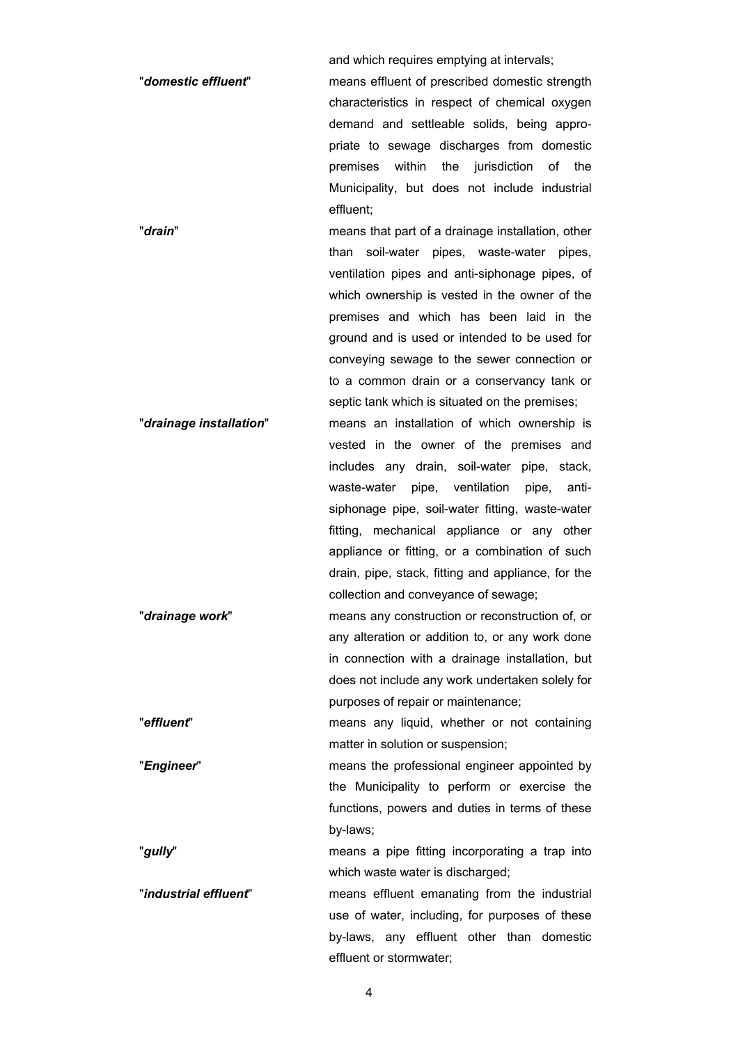and which requires emptying at intervals;

"*domestic effluent*" means effluent of prescribed domestic strength characteristics in respect of chemical oxygen demand and settleable solids, being appropriate to sewage discharges from domestic premises within the jurisdiction of the Municipality, but does not include industrial effluent;

"*drain*" means that part of a drainage installation, other than soil-water pipes, waste-water pipes, ventilation pipes and anti-siphonage pipes, of which ownership is vested in the owner of the premises and which has been laid in the ground and is used or intended to be used for conveying sewage to the sewer connection or to a common drain or a conservancy tank or septic tank which is situated on the premises;

- "*drainage installation*"means an installation of which ownership is vested in the owner of the premises and includes any drain, soil-water pipe, stack, waste-water pipe, ventilation pipe, antisiphonage pipe, soil-water fitting, waste-water fitting, mechanical appliance or any other appliance or fitting, or a combination of such drain, pipe, stack, fitting and appliance, for the collection and conveyance of sewage;
- "*drainage work*" means any construction or reconstruction of, or any alteration or addition to, or any work done in connection with a drainage installation, but does not include any work undertaken solely for purposes of repair or maintenance;

"*effluent*" means any liquid, whether or not containing matter in solution or suspension;

"*Engineer*" means the professional engineer appointed by the Municipality to perform or exercise the functions, powers and duties in terms of these by-laws;

"*gully*" means a pipe fitting incorporating a trap into which waste water is discharged;

"*industrial effluent*" means effluent emanating from the industrial use of water, including, for purposes of these by-laws, any effluent other than domestic effluent or stormwater;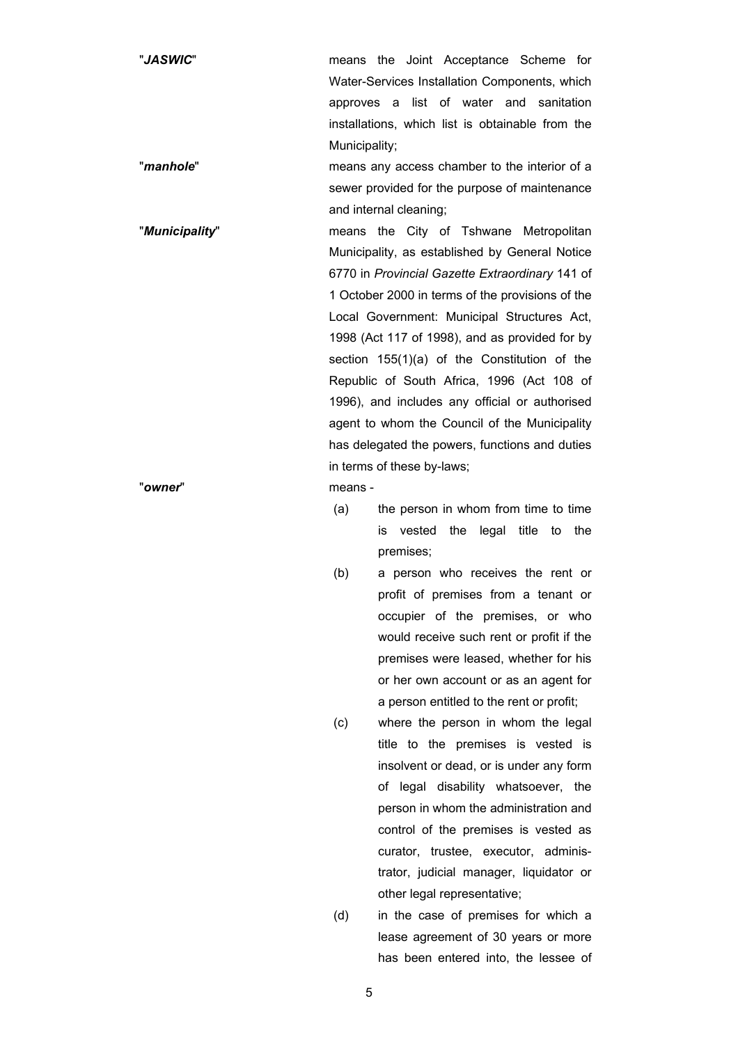"*JASWIC*" means the Joint Acceptance Scheme for Water-Services Installation Components, which approves a list of water and sanitation installations, which list is obtainable from the Municipality;

"*manhole*" means any access chamber to the interior of a sewer provided for the purpose of maintenance and internal cleaning;

"*Municipality*" means the City of Tshwane Metropolitan Municipality, as established by General Notice 6770 in *Provincial Gazette Extraordinary* 141 of 1 October 2000 in terms of the provisions of the Local Government: Municipal Structures Act, 1998 (Act 117 of 1998), and as provided for by section 155(1)(a) of the Constitution of the Republic of South Africa, 1996 (Act 108 of 1996), and includes any official or authorised agent to whom the Council of the Municipality has delegated the powers, functions and duties in terms of these by-laws;

"*owner*" means -

- (a) the person in whom from time to time is vested the legal title to the premises;
- (b) a person who receives the rent or profit of premises from a tenant or occupier of the premises, or who would receive such rent or profit if the premises were leased, whether for his or her own account or as an agent for a person entitled to the rent or profit;
- (c) where the person in whom the legal title to the premises is vested is insolvent or dead, or is under any form of legal disability whatsoever, the person in whom the administration and control of the premises is vested as curator, trustee, executor, administrator, judicial manager, liquidator or other legal representative;
- (d) in the case of premises for which a lease agreement of 30 years or more has been entered into, the lessee of

5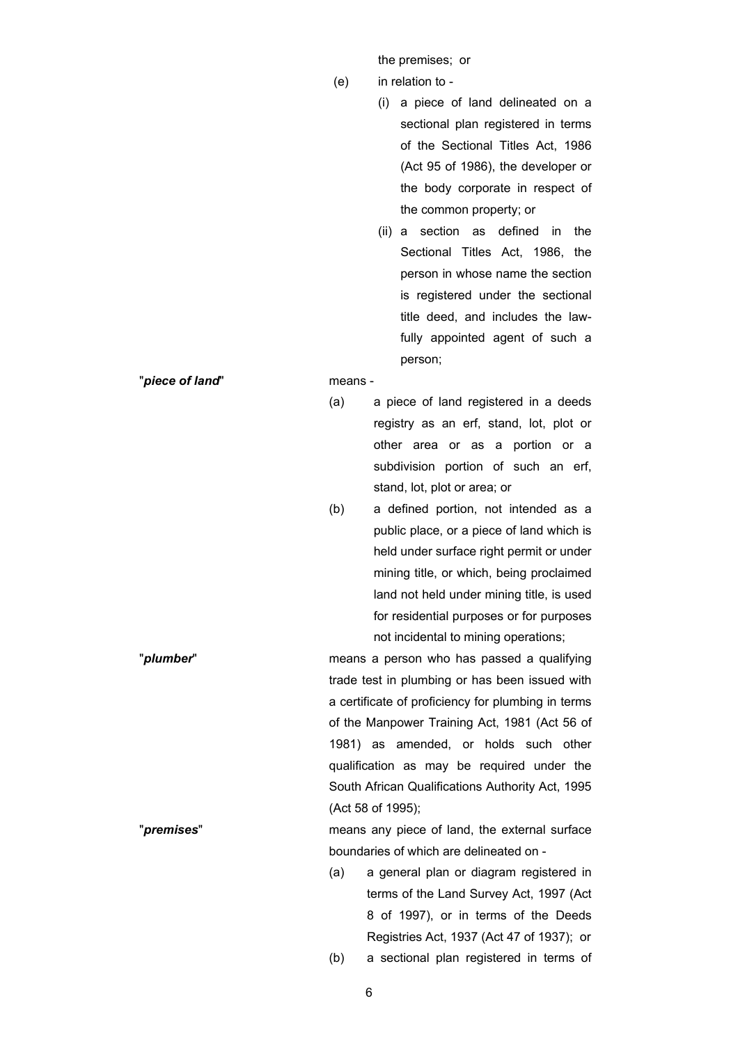the premises; or

- (e) in relation to
	- (i) a piece of land delineated on a sectional plan registered in terms of the Sectional Titles Act, 1986 (Act 95 of 1986), the developer or the body corporate in respect of the common property; or
	- (ii) a section as defined in the Sectional Titles Act, 1986, the person in whose name the section is registered under the sectional title deed, and includes the lawfully appointed agent of such a person;

"*piece of land*" means -

- (a) a piece of land registered in a deeds registry as an erf, stand, lot, plot or other area or as a portion or a subdivision portion of such an erf, stand, lot, plot or area; or
- (b) a defined portion, not intended as a public place, or a piece of land which is held under surface right permit or under mining title, or which, being proclaimed land not held under mining title, is used for residential purposes or for purposes not incidental to mining operations;
- "*plumber*" means a person who has passed a qualifying trade test in plumbing or has been issued with a certificate of proficiency for plumbing in terms of the Manpower Training Act, 1981 (Act 56 of 1981) as amended, or holds such other qualification as may be required under the South African Qualifications Authority Act, 1995 (Act 58 of 1995); "*premises*" means any piece of land, the external surface
	- (a) a general plan or diagram registered in terms of the Land Survey Act, 1997 (Act 8 of 1997), or in terms of the Deeds Registries Act, 1937 (Act 47 of 1937); or

boundaries of which are delineated on -

(b) a sectional plan registered in terms of

6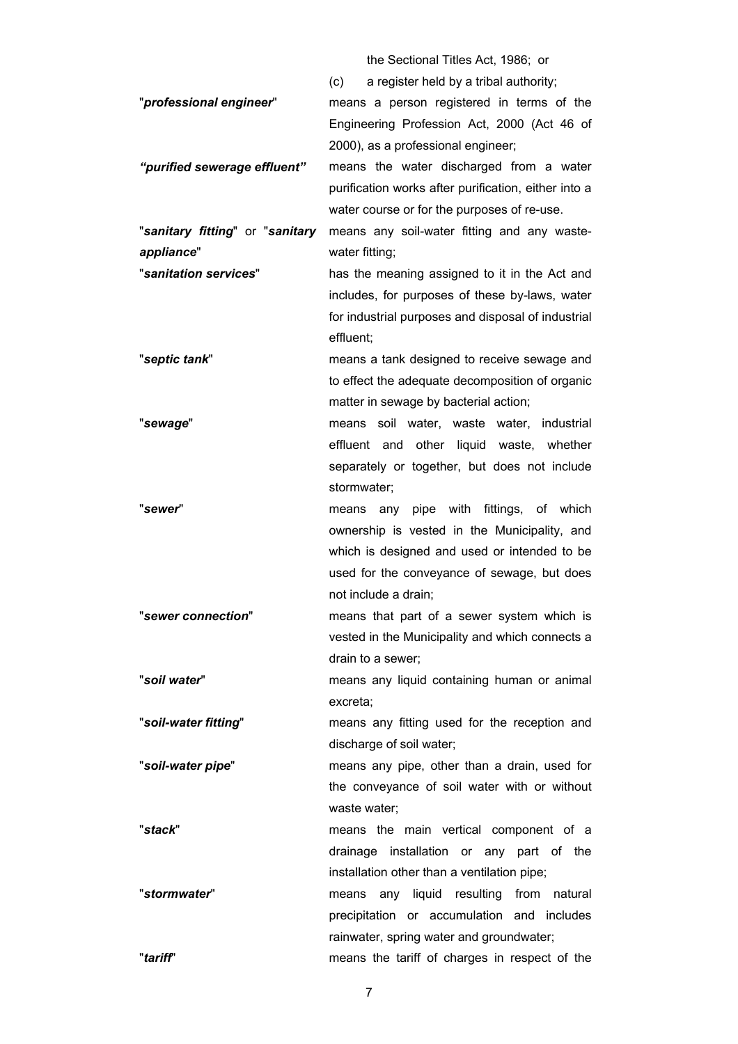the Sectional Titles Act, 1986; or

|                                 | a register held by a tribal authority;<br>(c)                   |  |  |  |  |
|---------------------------------|-----------------------------------------------------------------|--|--|--|--|
| "professional engineer"         | means a person registered in terms of the                       |  |  |  |  |
|                                 | Engineering Profession Act, 2000 (Act 46 of                     |  |  |  |  |
|                                 | 2000), as a professional engineer;                              |  |  |  |  |
| "purified sewerage effluent"    | means the water discharged from a water                         |  |  |  |  |
|                                 | purification works after purification, either into a            |  |  |  |  |
|                                 | water course or for the purposes of re-use.                     |  |  |  |  |
| "sanitary fitting" or "sanitary | means any soil-water fitting and any waste-                     |  |  |  |  |
| appliance"                      | water fitting;                                                  |  |  |  |  |
| "sanitation services"           | has the meaning assigned to it in the Act and                   |  |  |  |  |
|                                 | includes, for purposes of these by-laws, water                  |  |  |  |  |
|                                 |                                                                 |  |  |  |  |
|                                 | for industrial purposes and disposal of industrial<br>effluent; |  |  |  |  |
| "septic tank"                   | means a tank designed to receive sewage and                     |  |  |  |  |
|                                 | to effect the adequate decomposition of organic                 |  |  |  |  |
|                                 | matter in sewage by bacterial action;                           |  |  |  |  |
| "sewage"                        | soil water, waste water,<br>industrial<br>means                 |  |  |  |  |
|                                 | effluent and other liquid waste, whether                        |  |  |  |  |
|                                 | separately or together, but does not include                    |  |  |  |  |
|                                 | stormwater;                                                     |  |  |  |  |
| "sewer"                         | means any pipe with fittings, of which                          |  |  |  |  |
|                                 | ownership is vested in the Municipality, and                    |  |  |  |  |
|                                 | which is designed and used or intended to be                    |  |  |  |  |
|                                 | used for the conveyance of sewage, but does                     |  |  |  |  |
|                                 | not include a drain;                                            |  |  |  |  |
| "sewer connection"              | means that part of a sewer system which is                      |  |  |  |  |
|                                 | vested in the Municipality and which connects a                 |  |  |  |  |
|                                 | drain to a sewer;                                               |  |  |  |  |
| "soil water"                    | means any liquid containing human or animal                     |  |  |  |  |
|                                 | excreta;                                                        |  |  |  |  |
| "soil-water fitting"            | means any fitting used for the reception and                    |  |  |  |  |
|                                 | discharge of soil water;                                        |  |  |  |  |
| "soil-water pipe"               | means any pipe, other than a drain, used for                    |  |  |  |  |
|                                 | the conveyance of soil water with or without                    |  |  |  |  |
|                                 |                                                                 |  |  |  |  |
| "stack"                         | waste water;                                                    |  |  |  |  |
|                                 | means the main vertical component of a                          |  |  |  |  |
|                                 | drainage installation or any part of the                        |  |  |  |  |
|                                 | installation other than a ventilation pipe;                     |  |  |  |  |
| "stormwater"                    | means any liquid resulting from natural                         |  |  |  |  |
|                                 | precipitation or accumulation and includes                      |  |  |  |  |
|                                 | rainwater, spring water and groundwater;                        |  |  |  |  |
| "tariff"                        | means the tariff of charges in respect of the                   |  |  |  |  |

7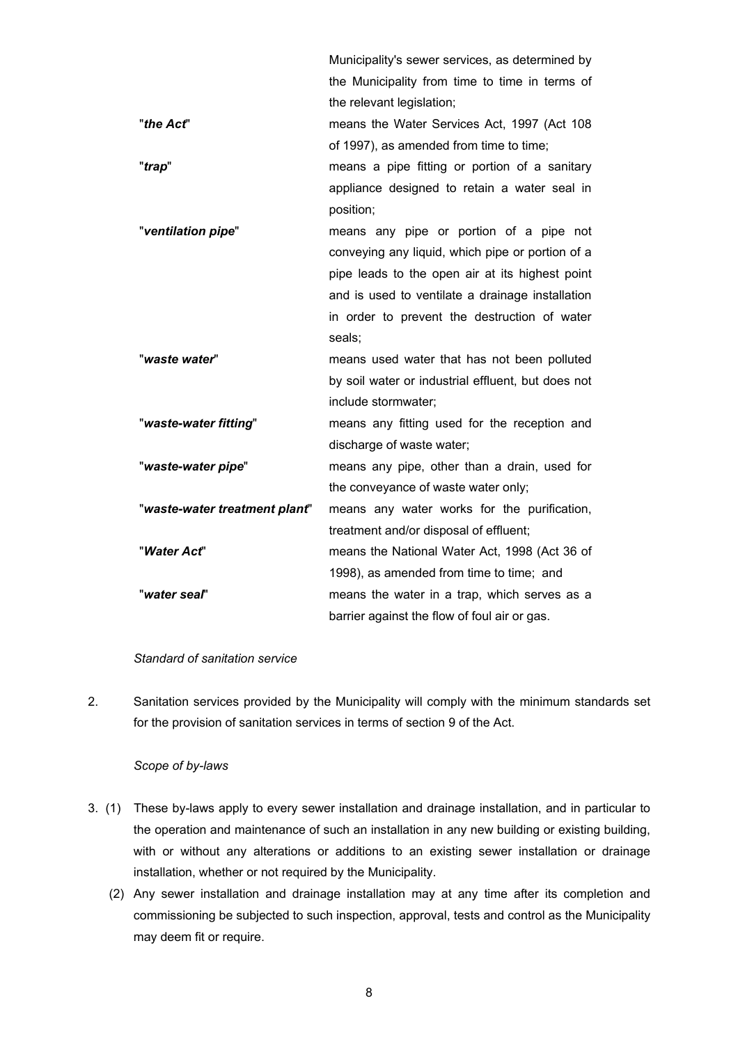<span id="page-7-0"></span>Municipality's sewer services, as determined by the Municipality from time to time in terms of the relevant legislation; "*the Act*" means the Water Services Act, 1997 (Act 108 of 1997), as amended from time to time; "*trap*" means a pipe fitting or portion of a sanitary appliance designed to retain a water seal in position; "*ventilation pipe*" means any pipe or portion of a pipe not conveying any liquid, which pipe or portion of a pipe leads to the open air at its highest point and is used to ventilate a drainage installation in order to prevent the destruction of water seals; "*waste water*" means used water that has not been polluted by soil water or industrial effluent, but does not include stormwater; "*waste-water fitting*" means any fitting used for the reception and discharge of waste water; "*waste-water pipe*" means any pipe, other than a drain, used for the conveyance of waste water only; "*waste-water treatment plant*" means any water works for the purification, treatment and/or disposal of effluent; "*Water Act*" means the National Water Act, 1998 (Act 36 of 1998), as amended from time to time; and "*water seal*" means the water in a trap, which serves as a barrier against the flow of foul air or gas.

#### *Standard of sanitation service*

2. Sanitation services provided by the Municipality will comply with the minimum standards set for the provision of sanitation services in terms of section 9 of the Act.

#### *Scope of by-laws*

- 3. (1) These by-laws apply to every sewer installation and drainage installation, and in particular to the operation and maintenance of such an installation in any new building or existing building, with or without any alterations or additions to an existing sewer installation or drainage installation, whether or not required by the Municipality.
	- (2) Any sewer installation and drainage installation may at any time after its completion and commissioning be subjected to such inspection, approval, tests and control as the Municipality may deem fit or require.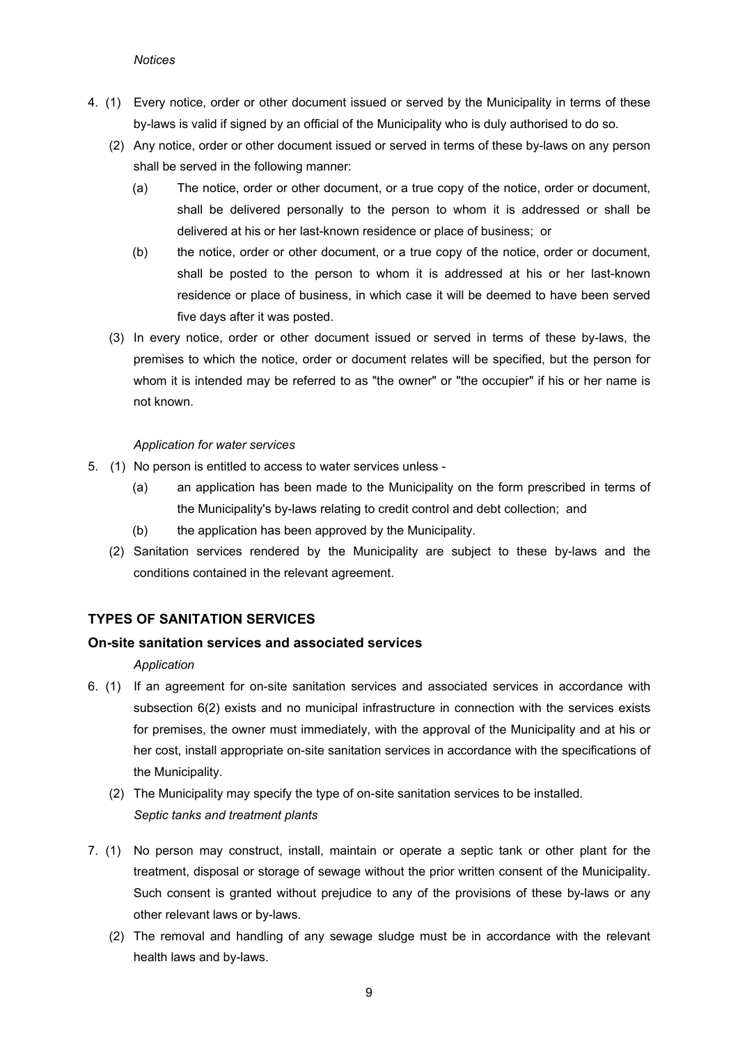#### *Notices*

- <span id="page-8-0"></span>4. (1) Every notice, order or other document issued or served by the Municipality in terms of these by-laws is valid if signed by an official of the Municipality who is duly authorised to do so.
	- (2) Any notice, order or other document issued or served in terms of these by-laws on any person shall be served in the following manner:
		- (a) The notice, order or other document, or a true copy of the notice, order or document, shall be delivered personally to the person to whom it is addressed or shall be delivered at his or her last-known residence or place of business; or
		- (b) the notice, order or other document, or a true copy of the notice, order or document, shall be posted to the person to whom it is addressed at his or her last-known residence or place of business, in which case it will be deemed to have been served five days after it was posted.
	- (3) In every notice, order or other document issued or served in terms of these by-laws, the premises to which the notice, order or document relates will be specified, but the person for whom it is intended may be referred to as "the owner" or "the occupier" if his or her name is not known.

## *Application for water services*

- 5. (1) No person is entitled to access to water services unless
	- (a) an application has been made to the Municipality on the form prescribed in terms of the Municipality's by-laws relating to credit control and debt collection; and
	- (b) the application has been approved by the Municipality.
	- (2) Sanitation services rendered by the Municipality are subject to these by-laws and the conditions contained in the relevant agreement.

# **TYPES OF SANITATION SERVICES**

# **On-site sanitation services and associated services**

#### *Application*

- 6. (1) If an agreement for on-site sanitation services and associated services in accordance with subsection 6(2) exists and no municipal infrastructure in connection with the services exists for premises, the owner must immediately, with the approval of the Municipality and at his or her cost, install appropriate on-site sanitation services in accordance with the specifications of the Municipality.
	- (2) The Municipality may specify the type of on-site sanitation services to be installed. *Septic tanks and treatment plants*
- 7. (1) No person may construct, install, maintain or operate a septic tank or other plant for the treatment, disposal or storage of sewage without the prior written consent of the Municipality. Such consent is granted without prejudice to any of the provisions of these by-laws or any other relevant laws or by-laws.
	- (2) The removal and handling of any sewage sludge must be in accordance with the relevant health laws and by-laws.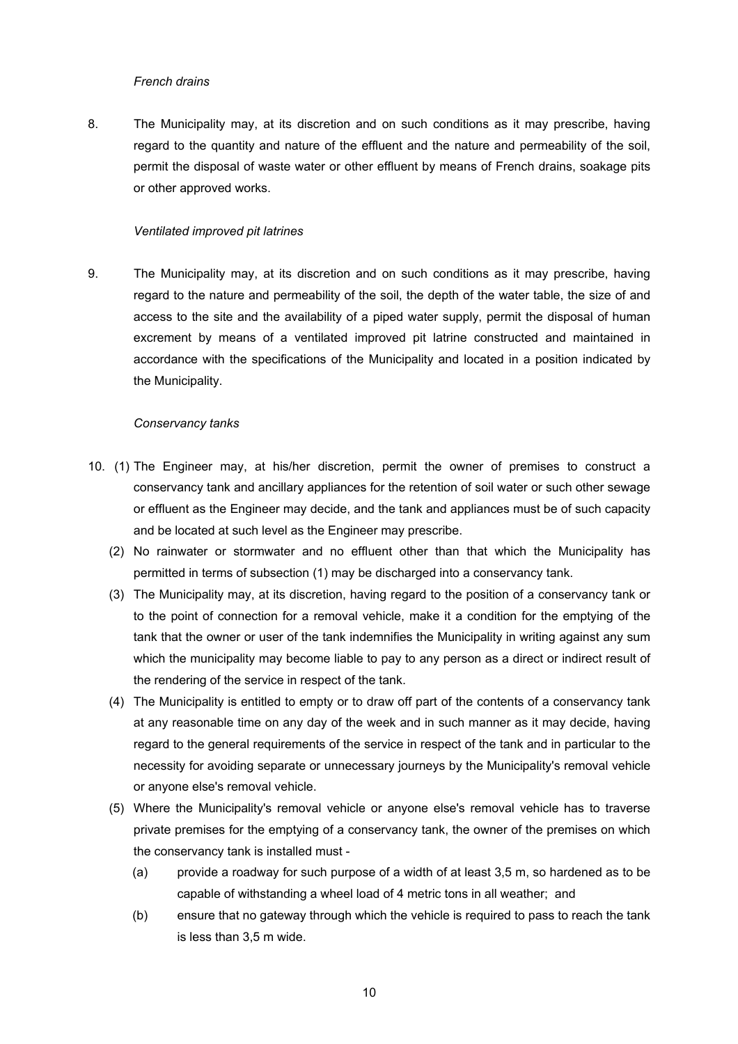#### *French drains*

<span id="page-9-0"></span>8. The Municipality may, at its discretion and on such conditions as it may prescribe, having regard to the quantity and nature of the effluent and the nature and permeability of the soil, permit the disposal of waste water or other effluent by means of French drains, soakage pits or other approved works.

#### *Ventilated improved pit latrines*

9. The Municipality may, at its discretion and on such conditions as it may prescribe, having regard to the nature and permeability of the soil, the depth of the water table, the size of and access to the site and the availability of a piped water supply, permit the disposal of human excrement by means of a ventilated improved pit latrine constructed and maintained in accordance with the specifications of the Municipality and located in a position indicated by the Municipality.

#### *Conservancy tanks*

- 10. (1) The Engineer may, at his/her discretion, permit the owner of premises to construct a conservancy tank and ancillary appliances for the retention of soil water or such other sewage or effluent as the Engineer may decide, and the tank and appliances must be of such capacity and be located at such level as the Engineer may prescribe.
	- (2) No rainwater or stormwater and no effluent other than that which the Municipality has permitted in terms of subsection (1) may be discharged into a conservancy tank.
	- (3) The Municipality may, at its discretion, having regard to the position of a conservancy tank or to the point of connection for a removal vehicle, make it a condition for the emptying of the tank that the owner or user of the tank indemnifies the Municipality in writing against any sum which the municipality may become liable to pay to any person as a direct or indirect result of the rendering of the service in respect of the tank.
	- (4) The Municipality is entitled to empty or to draw off part of the contents of a conservancy tank at any reasonable time on any day of the week and in such manner as it may decide, having regard to the general requirements of the service in respect of the tank and in particular to the necessity for avoiding separate or unnecessary journeys by the Municipality's removal vehicle or anyone else's removal vehicle.
	- (5) Where the Municipality's removal vehicle or anyone else's removal vehicle has to traverse private premises for the emptying of a conservancy tank, the owner of the premises on which the conservancy tank is installed must -
		- (a) provide a roadway for such purpose of a width of at least 3,5 m, so hardened as to be capable of withstanding a wheel load of 4 metric tons in all weather; and
		- (b) ensure that no gateway through which the vehicle is required to pass to reach the tank is less than 3,5 m wide.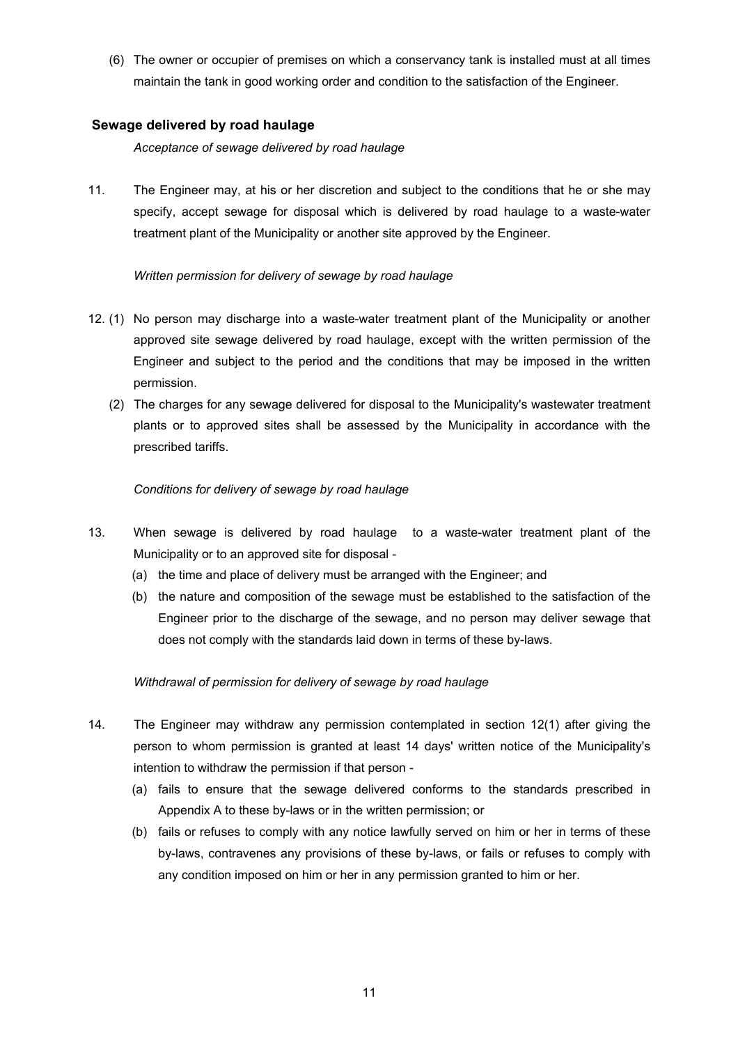<span id="page-10-0"></span>(6) The owner or occupier of premises on which a conservancy tank is installed must at all times maintain the tank in good working order and condition to the satisfaction of the Engineer.

# **Sewage delivered by road haulage**

*Acceptance of sewage delivered by road haulage* 

11. The Engineer may, at his or her discretion and subject to the conditions that he or she may specify, accept sewage for disposal which is delivered by road haulage to a waste-water treatment plant of the Municipality or another site approved by the Engineer.

## *Written permission for delivery of sewage by road haulage*

- 12. (1) No person may discharge into a waste-water treatment plant of the Municipality or another approved site sewage delivered by road haulage, except with the written permission of the Engineer and subject to the period and the conditions that may be imposed in the written permission.
	- (2) The charges for any sewage delivered for disposal to the Municipality's wastewater treatment plants or to approved sites shall be assessed by the Municipality in accordance with the prescribed tariffs.

## *Conditions for delivery of sewage by road haulage*

- 13. When sewage is delivered by road haulage to a waste-water treatment plant of the Municipality or to an approved site for disposal -
	- (a) the time and place of delivery must be arranged with the Engineer; and
	- (b) the nature and composition of the sewage must be established to the satisfaction of the Engineer prior to the discharge of the sewage, and no person may deliver sewage that does not comply with the standards laid down in terms of these by-laws.

#### *Withdrawal of permission for delivery of sewage by road haulage*

- 14. The Engineer may withdraw any permission contemplated in section 12(1) after giving the person to whom permission is granted at least 14 days' written notice of the Municipality's intention to withdraw the permission if that person -
	- (a) fails to ensure that the sewage delivered conforms to the standards prescribed in Appendix A to these by-laws or in the written permission; or
	- (b) fails or refuses to comply with any notice lawfully served on him or her in terms of these by-laws, contravenes any provisions of these by-laws, or fails or refuses to comply with any condition imposed on him or her in any permission granted to him or her.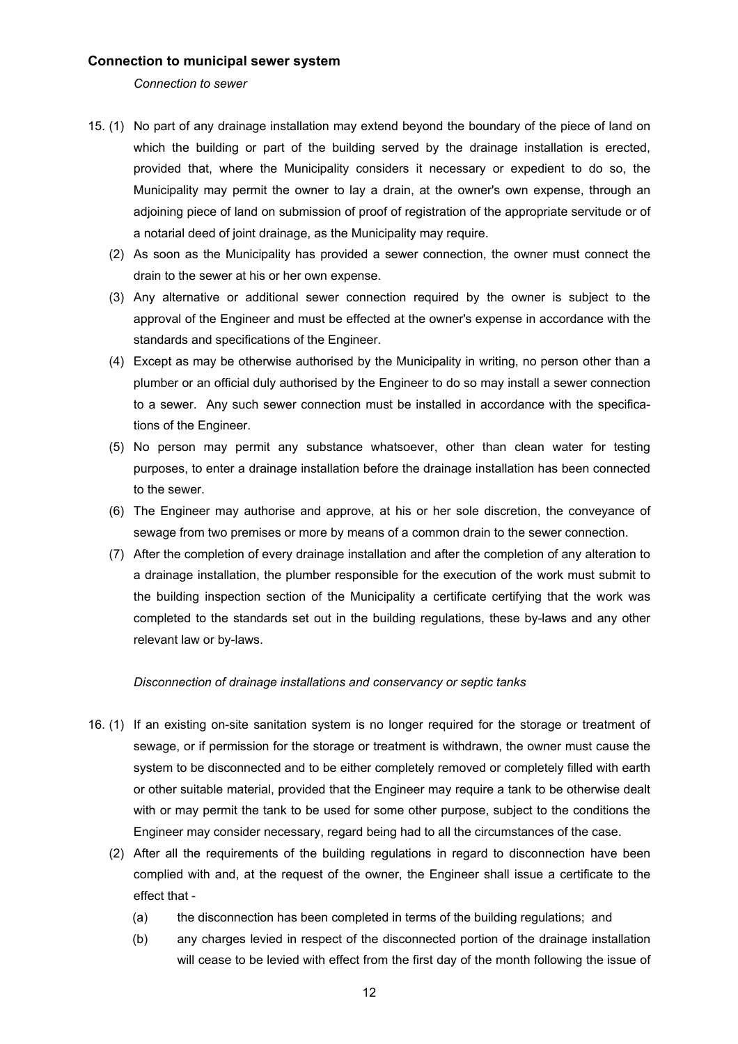#### <span id="page-11-0"></span>**Connection to municipal sewer system**

*Connection to sewer* 

- 15. (1) No part of any drainage installation may extend beyond the boundary of the piece of land on which the building or part of the building served by the drainage installation is erected, provided that, where the Municipality considers it necessary or expedient to do so, the Municipality may permit the owner to lay a drain, at the owner's own expense, through an adjoining piece of land on submission of proof of registration of the appropriate servitude or of a notarial deed of joint drainage, as the Municipality may require.
	- (2) As soon as the Municipality has provided a sewer connection, the owner must connect the drain to the sewer at his or her own expense.
	- (3) Any alternative or additional sewer connection required by the owner is subject to the approval of the Engineer and must be effected at the owner's expense in accordance with the standards and specifications of the Engineer.
	- (4) Except as may be otherwise authorised by the Municipality in writing, no person other than a plumber or an official duly authorised by the Engineer to do so may install a sewer connection to a sewer. Any such sewer connection must be installed in accordance with the specifications of the Engineer.
	- (5) No person may permit any substance whatsoever, other than clean water for testing purposes, to enter a drainage installation before the drainage installation has been connected to the sewer.
	- (6) The Engineer may authorise and approve, at his or her sole discretion, the conveyance of sewage from two premises or more by means of a common drain to the sewer connection.
	- (7) After the completion of every drainage installation and after the completion of any alteration to a drainage installation, the plumber responsible for the execution of the work must submit to the building inspection section of the Municipality a certificate certifying that the work was completed to the standards set out in the building regulations, these by-laws and any other relevant law or by-laws.

#### *Disconnection of drainage installations and conservancy or septic tanks*

- 16. (1) If an existing on-site sanitation system is no longer required for the storage or treatment of sewage, or if permission for the storage or treatment is withdrawn, the owner must cause the system to be disconnected and to be either completely removed or completely filled with earth or other suitable material, provided that the Engineer may require a tank to be otherwise dealt with or may permit the tank to be used for some other purpose, subject to the conditions the Engineer may consider necessary, regard being had to all the circumstances of the case.
	- (2) After all the requirements of the building regulations in regard to disconnection have been complied with and, at the request of the owner, the Engineer shall issue a certificate to the effect that -
		- (a) the disconnection has been completed in terms of the building regulations; and
		- (b) any charges levied in respect of the disconnected portion of the drainage installation will cease to be levied with effect from the first day of the month following the issue of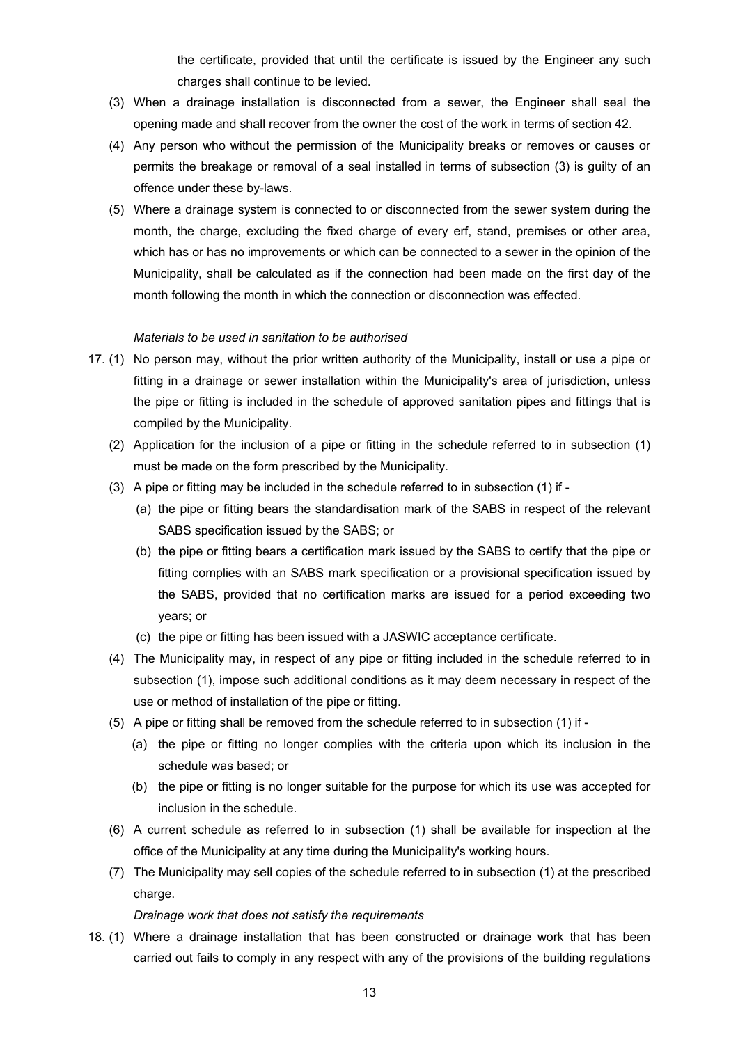the certificate, provided that until the certificate is issued by the Engineer any such charges shall continue to be levied.

- <span id="page-12-0"></span>(3) When a drainage installation is disconnected from a sewer, the Engineer shall seal the opening made and shall recover from the owner the cost of the work in terms of section 42.
- (4) Any person who without the permission of the Municipality breaks or removes or causes or permits the breakage or removal of a seal installed in terms of subsection (3) is guilty of an offence under these by-laws.
- (5) Where a drainage system is connected to or disconnected from the sewer system during the month, the charge, excluding the fixed charge of every erf, stand, premises or other area, which has or has no improvements or which can be connected to a sewer in the opinion of the Municipality, shall be calculated as if the connection had been made on the first day of the month following the month in which the connection or disconnection was effected.

#### *Materials to be used in sanitation to be authorised*

- 17. (1) No person may, without the prior written authority of the Municipality, install or use a pipe or fitting in a drainage or sewer installation within the Municipality's area of jurisdiction, unless the pipe or fitting is included in the schedule of approved sanitation pipes and fittings that is compiled by the Municipality.
	- (2) Application for the inclusion of a pipe or fitting in the schedule referred to in subsection (1) must be made on the form prescribed by the Municipality.
	- (3) A pipe or fitting may be included in the schedule referred to in subsection (1) if
		- (a) the pipe or fitting bears the standardisation mark of the SABS in respect of the relevant SABS specification issued by the SABS; or
		- (b) the pipe or fitting bears a certification mark issued by the SABS to certify that the pipe or fitting complies with an SABS mark specification or a provisional specification issued by the SABS, provided that no certification marks are issued for a period exceeding two years; or
		- (c) the pipe or fitting has been issued with a JASWIC acceptance certificate.
	- (4) The Municipality may, in respect of any pipe or fitting included in the schedule referred to in subsection (1), impose such additional conditions as it may deem necessary in respect of the use or method of installation of the pipe or fitting.
	- (5) A pipe or fitting shall be removed from the schedule referred to in subsection (1) if
		- (a) the pipe or fitting no longer complies with the criteria upon which its inclusion in the schedule was based; or
		- (b) the pipe or fitting is no longer suitable for the purpose for which its use was accepted for inclusion in the schedule.
	- (6) A current schedule as referred to in subsection (1) shall be available for inspection at the office of the Municipality at any time during the Municipality's working hours.
	- (7) The Municipality may sell copies of the schedule referred to in subsection (1) at the prescribed charge.

#### *Drainage work that does not satisfy the requirements*

18. (1) Where a drainage installation that has been constructed or drainage work that has been carried out fails to comply in any respect with any of the provisions of the building regulations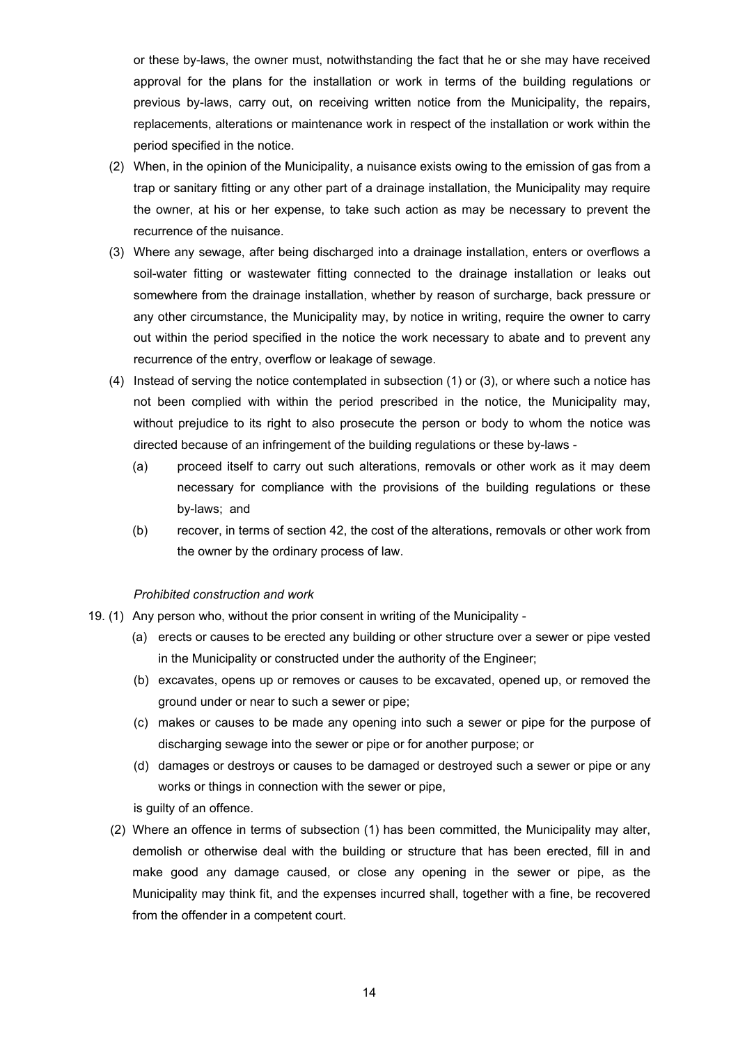<span id="page-13-0"></span>or these by-laws, the owner must, notwithstanding the fact that he or she may have received approval for the plans for the installation or work in terms of the building regulations or previous by-laws, carry out, on receiving written notice from the Municipality, the repairs, replacements, alterations or maintenance work in respect of the installation or work within the period specified in the notice.

- (2) When, in the opinion of the Municipality, a nuisance exists owing to the emission of gas from a trap or sanitary fitting or any other part of a drainage installation, the Municipality may require the owner, at his or her expense, to take such action as may be necessary to prevent the recurrence of the nuisance.
- (3) Where any sewage, after being discharged into a drainage installation, enters or overflows a soil-water fitting or wastewater fitting connected to the drainage installation or leaks out somewhere from the drainage installation, whether by reason of surcharge, back pressure or any other circumstance, the Municipality may, by notice in writing, require the owner to carry out within the period specified in the notice the work necessary to abate and to prevent any recurrence of the entry, overflow or leakage of sewage.
- (4) Instead of serving the notice contemplated in subsection (1) or (3), or where such a notice has not been complied with within the period prescribed in the notice, the Municipality may, without prejudice to its right to also prosecute the person or body to whom the notice was directed because of an infringement of the building regulations or these by-laws -
	- (a) proceed itself to carry out such alterations, removals or other work as it may deem necessary for compliance with the provisions of the building regulations or these by-laws; and
	- (b) recover, in terms of section 42, the cost of the alterations, removals or other work from the owner by the ordinary process of law.

#### *Prohibited construction and work*

- 19. (1) Any person who, without the prior consent in writing of the Municipality
	- (a) erects or causes to be erected any building or other structure over a sewer or pipe vested in the Municipality or constructed under the authority of the Engineer;
	- (b) excavates, opens up or removes or causes to be excavated, opened up, or removed the ground under or near to such a sewer or pipe;
	- (c) makes or causes to be made any opening into such a sewer or pipe for the purpose of discharging sewage into the sewer or pipe or for another purpose; or
	- (d) damages or destroys or causes to be damaged or destroyed such a sewer or pipe or any works or things in connection with the sewer or pipe,
	- is quilty of an offence.
	- (2) Where an offence in terms of subsection (1) has been committed, the Municipality may alter, demolish or otherwise deal with the building or structure that has been erected, fill in and make good any damage caused, or close any opening in the sewer or pipe, as the Municipality may think fit, and the expenses incurred shall, together with a fine, be recovered from the offender in a competent court.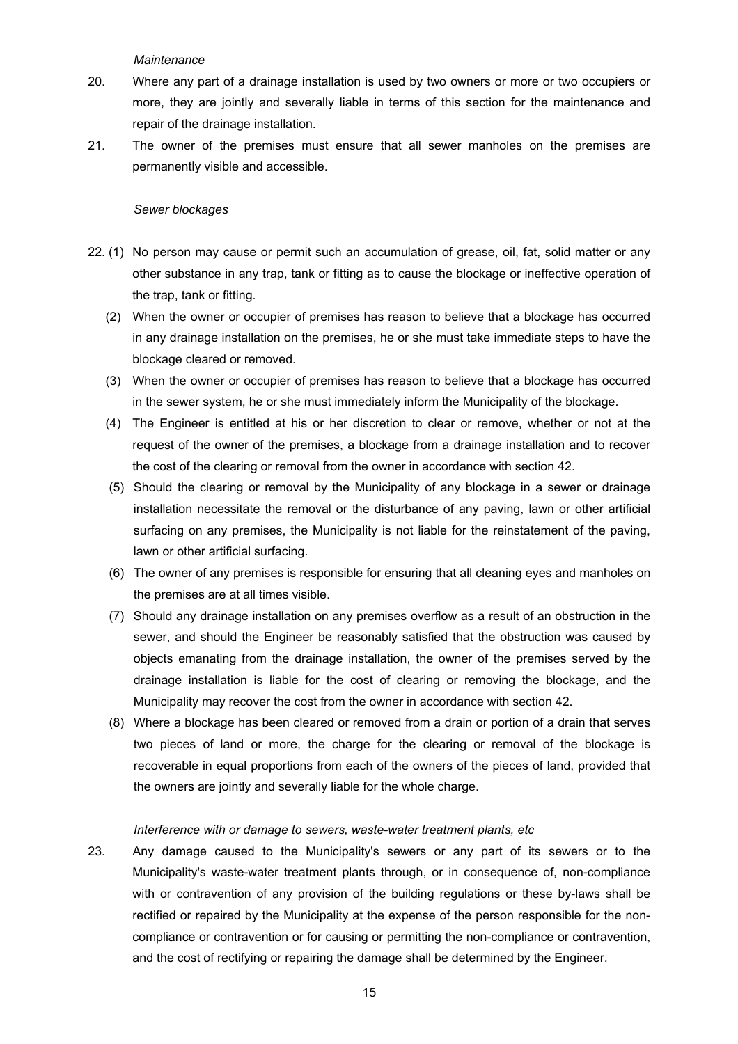*Maintenance*

- <span id="page-14-0"></span>20. Where any part of a drainage installation is used by two owners or more or two occupiers or more, they are jointly and severally liable in terms of this section for the maintenance and repair of the drainage installation.
- 21. The owner of the premises must ensure that all sewer manholes on the premises are permanently visible and accessible.

#### *Sewer blockages*

- 22. (1) No person may cause or permit such an accumulation of grease, oil, fat, solid matter or any other substance in any trap, tank or fitting as to cause the blockage or ineffective operation of the trap, tank or fitting.
	- (2) When the owner or occupier of premises has reason to believe that a blockage has occurred in any drainage installation on the premises, he or she must take immediate steps to have the blockage cleared or removed.
	- (3) When the owner or occupier of premises has reason to believe that a blockage has occurred in the sewer system, he or she must immediately inform the Municipality of the blockage.
	- (4) The Engineer is entitled at his or her discretion to clear or remove, whether or not at the request of the owner of the premises, a blockage from a drainage installation and to recover the cost of the clearing or removal from the owner in accordance with section 42.
	- (5) Should the clearing or removal by the Municipality of any blockage in a sewer or drainage installation necessitate the removal or the disturbance of any paving, lawn or other artificial surfacing on any premises, the Municipality is not liable for the reinstatement of the paving, lawn or other artificial surfacing.
	- (6) The owner of any premises is responsible for ensuring that all cleaning eyes and manholes on the premises are at all times visible.
	- (7) Should any drainage installation on any premises overflow as a result of an obstruction in the sewer, and should the Engineer be reasonably satisfied that the obstruction was caused by objects emanating from the drainage installation, the owner of the premises served by the drainage installation is liable for the cost of clearing or removing the blockage, and the Municipality may recover the cost from the owner in accordance with section 42.
	- (8) Where a blockage has been cleared or removed from a drain or portion of a drain that serves two pieces of land or more, the charge for the clearing or removal of the blockage is recoverable in equal proportions from each of the owners of the pieces of land, provided that the owners are jointly and severally liable for the whole charge.

#### *Interference with or damage to sewers, waste-water treatment plants, etc*

23. Any damage caused to the Municipality's sewers or any part of its sewers or to the Municipality's waste-water treatment plants through, or in consequence of, non-compliance with or contravention of any provision of the building regulations or these by-laws shall be rectified or repaired by the Municipality at the expense of the person responsible for the noncompliance or contravention or for causing or permitting the non-compliance or contravention, and the cost of rectifying or repairing the damage shall be determined by the Engineer.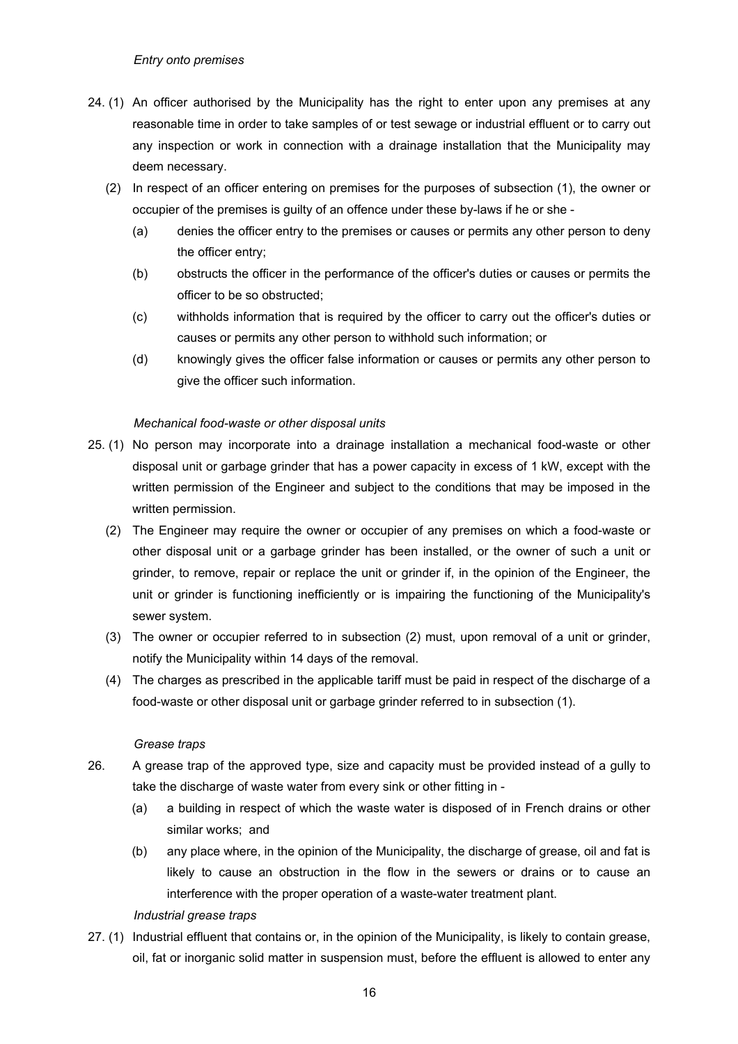- <span id="page-15-0"></span>24. (1) An officer authorised by the Municipality has the right to enter upon any premises at any reasonable time in order to take samples of or test sewage or industrial effluent or to carry out any inspection or work in connection with a drainage installation that the Municipality may deem necessary.
	- (2) In respect of an officer entering on premises for the purposes of subsection (1), the owner or occupier of the premises is guilty of an offence under these by-laws if he or she -
		- (a) denies the officer entry to the premises or causes or permits any other person to deny the officer entry;
		- (b) obstructs the officer in the performance of the officer's duties or causes or permits the officer to be so obstructed;
		- (c) withholds information that is required by the officer to carry out the officer's duties or causes or permits any other person to withhold such information; or
		- (d) knowingly gives the officer false information or causes or permits any other person to give the officer such information.

#### *Mechanical food-waste or other disposal units*

- 25. (1) No person may incorporate into a drainage installation a mechanical food-waste or other disposal unit or garbage grinder that has a power capacity in excess of 1 kW, except with the written permission of the Engineer and subject to the conditions that may be imposed in the written permission.
	- (2) The Engineer may require the owner or occupier of any premises on which a food-waste or other disposal unit or a garbage grinder has been installed, or the owner of such a unit or grinder, to remove, repair or replace the unit or grinder if, in the opinion of the Engineer, the unit or grinder is functioning inefficiently or is impairing the functioning of the Municipality's sewer system.
	- (3) The owner or occupier referred to in subsection (2) must, upon removal of a unit or grinder, notify the Municipality within 14 days of the removal.
	- (4) The charges as prescribed in the applicable tariff must be paid in respect of the discharge of a food-waste or other disposal unit or garbage grinder referred to in subsection (1).

#### *Grease traps*

- 26. A grease trap of the approved type, size and capacity must be provided instead of a gully to take the discharge of waste water from every sink or other fitting in -
	- (a) a building in respect of which the waste water is disposed of in French drains or other similar works; and
	- (b) any place where, in the opinion of the Municipality, the discharge of grease, oil and fat is likely to cause an obstruction in the flow in the sewers or drains or to cause an interference with the proper operation of a waste-water treatment plant.

#### *Industrial grease traps*

27. (1) Industrial effluent that contains or, in the opinion of the Municipality, is likely to contain grease, oil, fat or inorganic solid matter in suspension must, before the effluent is allowed to enter any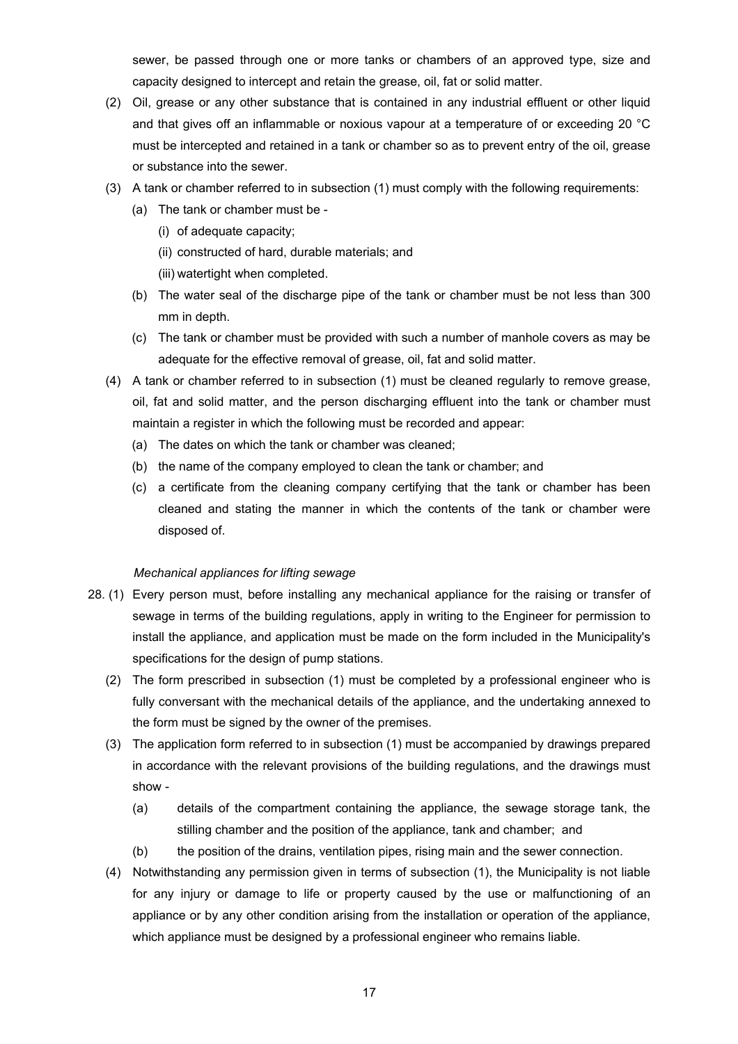<span id="page-16-0"></span>sewer, be passed through one or more tanks or chambers of an approved type, size and capacity designed to intercept and retain the grease, oil, fat or solid matter.

- (2) Oil, grease or any other substance that is contained in any industrial effluent or other liquid and that gives off an inflammable or noxious vapour at a temperature of or exceeding 20 °C must be intercepted and retained in a tank or chamber so as to prevent entry of the oil, grease or substance into the sewer.
- (3) A tank or chamber referred to in subsection (1) must comply with the following requirements:
	- (a) The tank or chamber must be
		- (i) of adequate capacity;
		- (ii) constructed of hard, durable materials; and
		- (iii) watertight when completed.
	- (b) The water seal of the discharge pipe of the tank or chamber must be not less than 300 mm in depth.
	- (c) The tank or chamber must be provided with such a number of manhole covers as may be adequate for the effective removal of grease, oil, fat and solid matter.
- (4) A tank or chamber referred to in subsection (1) must be cleaned regularly to remove grease, oil, fat and solid matter, and the person discharging effluent into the tank or chamber must maintain a register in which the following must be recorded and appear:
	- (a) The dates on which the tank or chamber was cleaned;
	- (b) the name of the company employed to clean the tank or chamber; and
	- (c) a certificate from the cleaning company certifying that the tank or chamber has been cleaned and stating the manner in which the contents of the tank or chamber were disposed of.

#### *Mechanical appliances for lifting sewage*

- 28. (1) Every person must, before installing any mechanical appliance for the raising or transfer of sewage in terms of the building regulations, apply in writing to the Engineer for permission to install the appliance, and application must be made on the form included in the Municipality's specifications for the design of pump stations.
	- (2) The form prescribed in subsection (1) must be completed by a professional engineer who is fully conversant with the mechanical details of the appliance, and the undertaking annexed to the form must be signed by the owner of the premises.
	- (3) The application form referred to in subsection (1) must be accompanied by drawings prepared in accordance with the relevant provisions of the building regulations, and the drawings must show -
		- (a) details of the compartment containing the appliance, the sewage storage tank, the stilling chamber and the position of the appliance, tank and chamber; and
		- (b) the position of the drains, ventilation pipes, rising main and the sewer connection.
	- (4) Notwithstanding any permission given in terms of subsection (1), the Municipality is not liable for any injury or damage to life or property caused by the use or malfunctioning of an appliance or by any other condition arising from the installation or operation of the appliance, which appliance must be designed by a professional engineer who remains liable.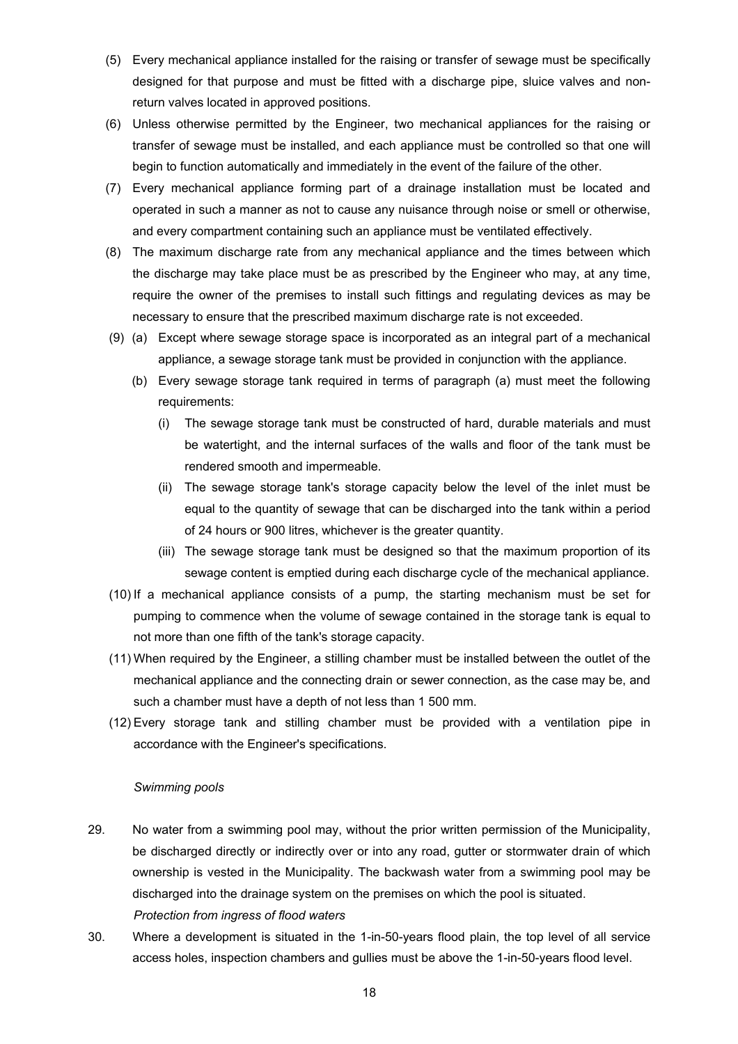- <span id="page-17-0"></span>(5) Every mechanical appliance installed for the raising or transfer of sewage must be specifically designed for that purpose and must be fitted with a discharge pipe, sluice valves and nonreturn valves located in approved positions.
- (6) Unless otherwise permitted by the Engineer, two mechanical appliances for the raising or transfer of sewage must be installed, and each appliance must be controlled so that one will begin to function automatically and immediately in the event of the failure of the other.
- (7) Every mechanical appliance forming part of a drainage installation must be located and operated in such a manner as not to cause any nuisance through noise or smell or otherwise, and every compartment containing such an appliance must be ventilated effectively.
- (8) The maximum discharge rate from any mechanical appliance and the times between which the discharge may take place must be as prescribed by the Engineer who may, at any time, require the owner of the premises to install such fittings and regulating devices as may be necessary to ensure that the prescribed maximum discharge rate is not exceeded.
- (9) (a) Except where sewage storage space is incorporated as an integral part of a mechanical appliance, a sewage storage tank must be provided in conjunction with the appliance.
	- (b) Every sewage storage tank required in terms of paragraph (a) must meet the following requirements:
		- (i) The sewage storage tank must be constructed of hard, durable materials and must be watertight, and the internal surfaces of the walls and floor of the tank must be rendered smooth and impermeable.
		- (ii) The sewage storage tank's storage capacity below the level of the inlet must be equal to the quantity of sewage that can be discharged into the tank within a period of 24 hours or 900 litres, whichever is the greater quantity.
		- (iii) The sewage storage tank must be designed so that the maximum proportion of its sewage content is emptied during each discharge cycle of the mechanical appliance.
- (10) If a mechanical appliance consists of a pump, the starting mechanism must be set for pumping to commence when the volume of sewage contained in the storage tank is equal to not more than one fifth of the tank's storage capacity.
- (11) When required by the Engineer, a stilling chamber must be installed between the outlet of the mechanical appliance and the connecting drain or sewer connection, as the case may be, and such a chamber must have a depth of not less than 1 500 mm.
- (12) Every storage tank and stilling chamber must be provided with a ventilation pipe in accordance with the Engineer's specifications.

#### *Swimming pools*

- 29. No water from a swimming pool may, without the prior written permission of the Municipality, be discharged directly or indirectly over or into any road, gutter or stormwater drain of which ownership is vested in the Municipality. The backwash water from a swimming pool may be discharged into the drainage system on the premises on which the pool is situated. *Protection from ingress of flood waters*
- 30. Where a development is situated in the 1-in-50-years flood plain, the top level of all service access holes, inspection chambers and gullies must be above the 1-in-50-years flood level.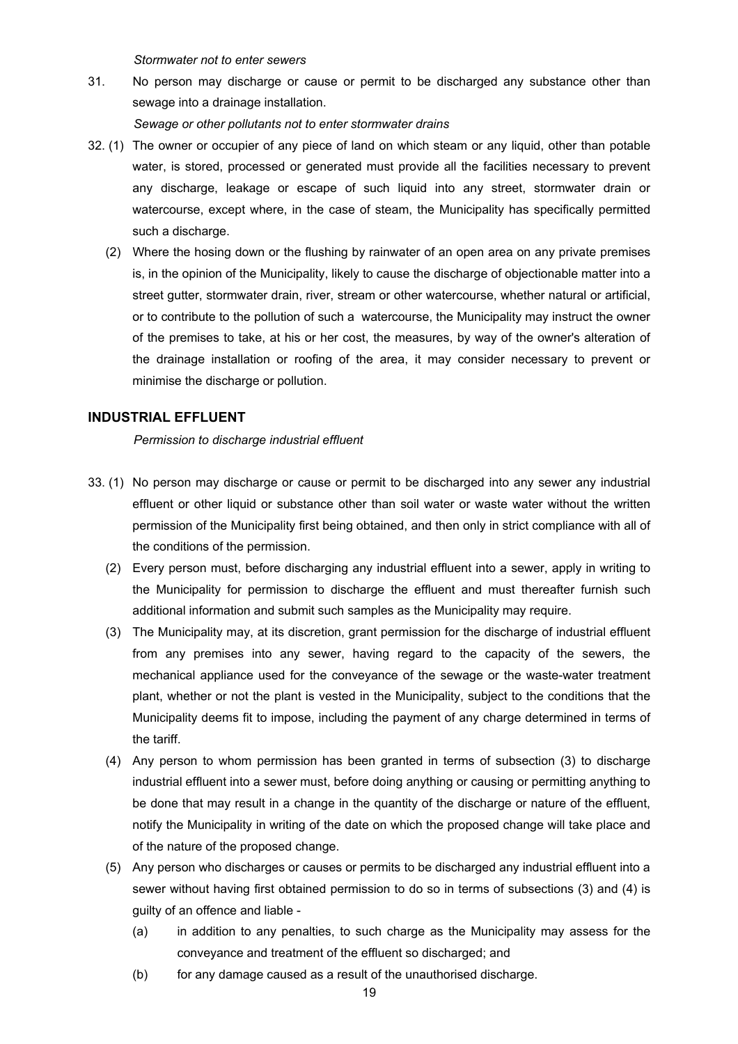*Stormwater not to enter sewers* 

<span id="page-18-0"></span>31. No person may discharge or cause or permit to be discharged any substance other than sewage into a drainage installation.

*Sewage or other pollutants not to enter stormwater drains* 

- 32. (1) The owner or occupier of any piece of land on which steam or any liquid, other than potable water, is stored, processed or generated must provide all the facilities necessary to prevent any discharge, leakage or escape of such liquid into any street, stormwater drain or watercourse, except where, in the case of steam, the Municipality has specifically permitted such a discharge.
	- (2) Where the hosing down or the flushing by rainwater of an open area on any private premises is, in the opinion of the Municipality, likely to cause the discharge of objectionable matter into a street gutter, stormwater drain, river, stream or other watercourse, whether natural or artificial, or to contribute to the pollution of such a watercourse, the Municipality may instruct the owner of the premises to take, at his or her cost, the measures, by way of the owner's alteration of the drainage installation or roofing of the area, it may consider necessary to prevent or minimise the discharge or pollution.

## **INDUSTRIAL EFFLUENT**

*Permission to discharge industrial effluent* 

- 33. (1) No person may discharge or cause or permit to be discharged into any sewer any industrial effluent or other liquid or substance other than soil water or waste water without the written permission of the Municipality first being obtained, and then only in strict compliance with all of the conditions of the permission.
	- (2) Every person must, before discharging any industrial effluent into a sewer, apply in writing to the Municipality for permission to discharge the effluent and must thereafter furnish such additional information and submit such samples as the Municipality may require.
	- (3) The Municipality may, at its discretion, grant permission for the discharge of industrial effluent from any premises into any sewer, having regard to the capacity of the sewers, the mechanical appliance used for the conveyance of the sewage or the waste-water treatment plant, whether or not the plant is vested in the Municipality, subject to the conditions that the Municipality deems fit to impose, including the payment of any charge determined in terms of the tariff.
	- (4) Any person to whom permission has been granted in terms of subsection (3) to discharge industrial effluent into a sewer must, before doing anything or causing or permitting anything to be done that may result in a change in the quantity of the discharge or nature of the effluent, notify the Municipality in writing of the date on which the proposed change will take place and of the nature of the proposed change.
	- (5) Any person who discharges or causes or permits to be discharged any industrial effluent into a sewer without having first obtained permission to do so in terms of subsections (3) and (4) is guilty of an offence and liable -
		- (a) in addition to any penalties, to such charge as the Municipality may assess for the conveyance and treatment of the effluent so discharged; and
		- (b) for any damage caused as a result of the unauthorised discharge.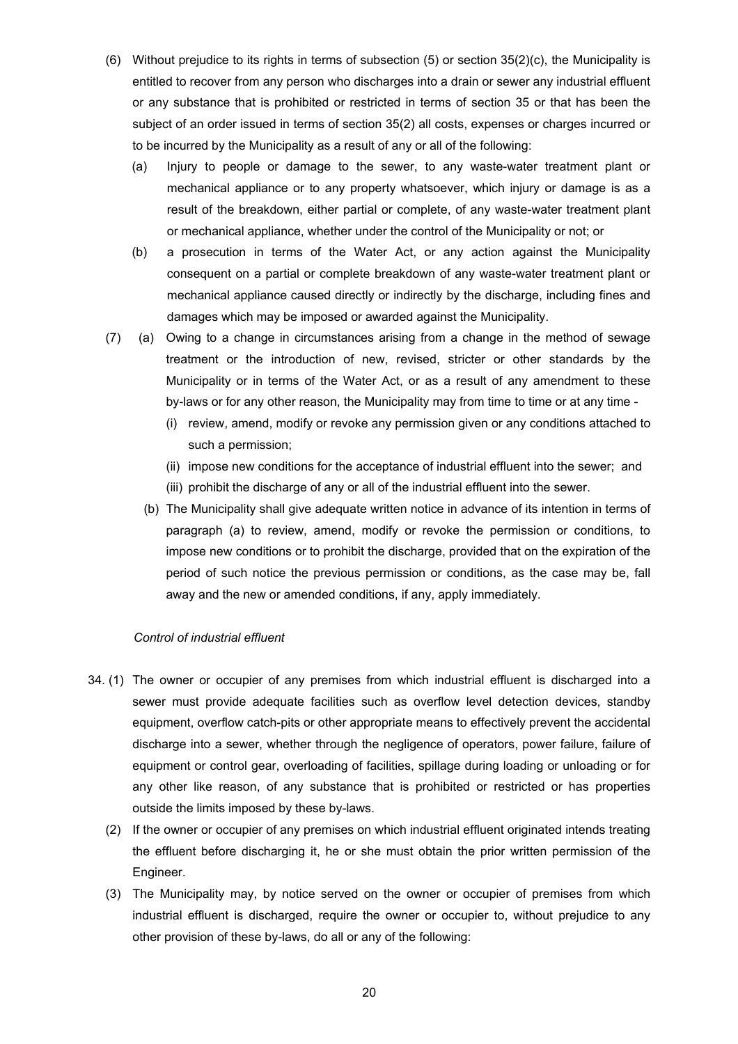- <span id="page-19-0"></span>(6) Without prejudice to its rights in terms of subsection (5) or section 35(2)(c), the Municipality is entitled to recover from any person who discharges into a drain or sewer any industrial effluent or any substance that is prohibited or restricted in terms of section 35 or that has been the subject of an order issued in terms of section 35(2) all costs, expenses or charges incurred or to be incurred by the Municipality as a result of any or all of the following:
	- (a) Injury to people or damage to the sewer, to any waste-water treatment plant or mechanical appliance or to any property whatsoever, which injury or damage is as a result of the breakdown, either partial or complete, of any waste-water treatment plant or mechanical appliance, whether under the control of the Municipality or not; or
	- (b) a prosecution in terms of the Water Act, or any action against the Municipality consequent on a partial or complete breakdown of any waste-water treatment plant or mechanical appliance caused directly or indirectly by the discharge, including fines and damages which may be imposed or awarded against the Municipality.
- (7) (a) Owing to a change in circumstances arising from a change in the method of sewage treatment or the introduction of new, revised, stricter or other standards by the Municipality or in terms of the Water Act, or as a result of any amendment to these by-laws or for any other reason, the Municipality may from time to time or at any time -
	- (i) review, amend, modify or revoke any permission given or any conditions attached to such a permission;
	- (ii) impose new conditions for the acceptance of industrial effluent into the sewer; and
	- (iii) prohibit the discharge of any or all of the industrial effluent into the sewer.
	- (b) The Municipality shall give adequate written notice in advance of its intention in terms of paragraph (a) to review, amend, modify or revoke the permission or conditions, to impose new conditions or to prohibit the discharge, provided that on the expiration of the period of such notice the previous permission or conditions, as the case may be, fall away and the new or amended conditions, if any, apply immediately.

#### *Control of industrial effluent*

- 34. (1) The owner or occupier of any premises from which industrial effluent is discharged into a sewer must provide adequate facilities such as overflow level detection devices, standby equipment, overflow catch-pits or other appropriate means to effectively prevent the accidental discharge into a sewer, whether through the negligence of operators, power failure, failure of equipment or control gear, overloading of facilities, spillage during loading or unloading or for any other like reason, of any substance that is prohibited or restricted or has properties outside the limits imposed by these by-laws.
	- (2) If the owner or occupier of any premises on which industrial effluent originated intends treating the effluent before discharging it, he or she must obtain the prior written permission of the Engineer.
	- (3) The Municipality may, by notice served on the owner or occupier of premises from which industrial effluent is discharged, require the owner or occupier to, without prejudice to any other provision of these by-laws, do all or any of the following: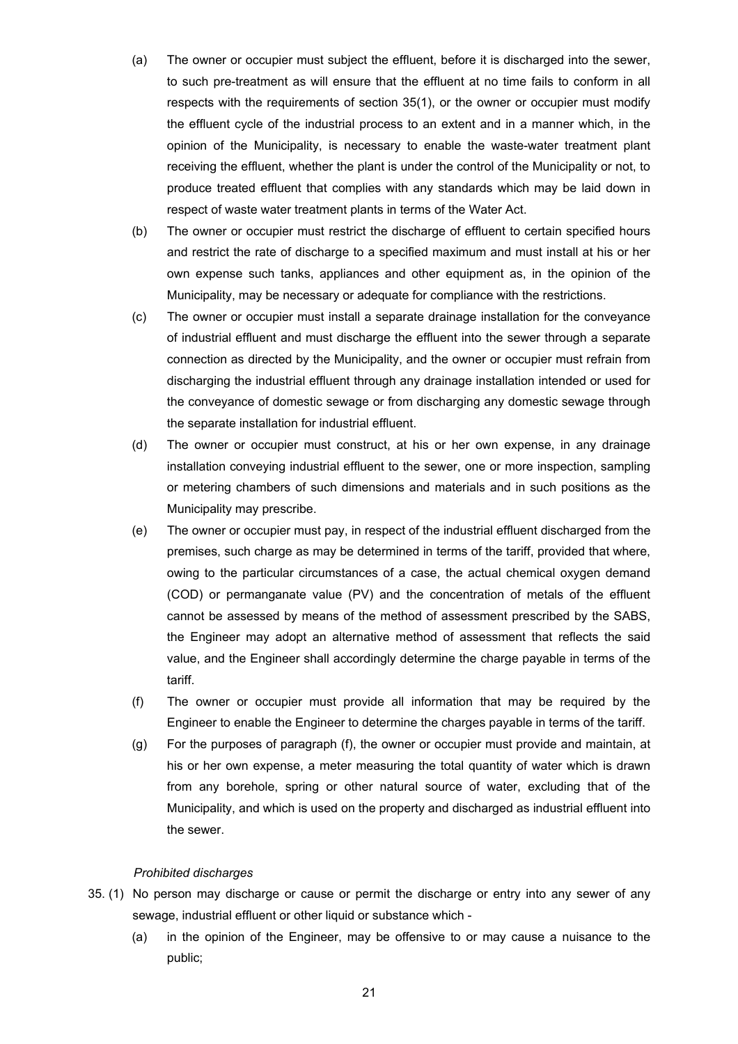- <span id="page-20-0"></span>(a) The owner or occupier must subject the effluent, before it is discharged into the sewer, to such pre-treatment as will ensure that the effluent at no time fails to conform in all respects with the requirements of section 35(1), or the owner or occupier must modify the effluent cycle of the industrial process to an extent and in a manner which, in the opinion of the Municipality, is necessary to enable the waste-water treatment plant receiving the effluent, whether the plant is under the control of the Municipality or not, to produce treated effluent that complies with any standards which may be laid down in respect of waste water treatment plants in terms of the Water Act.
- (b) The owner or occupier must restrict the discharge of effluent to certain specified hours and restrict the rate of discharge to a specified maximum and must install at his or her own expense such tanks, appliances and other equipment as, in the opinion of the Municipality, may be necessary or adequate for compliance with the restrictions.
- (c) The owner or occupier must install a separate drainage installation for the conveyance of industrial effluent and must discharge the effluent into the sewer through a separate connection as directed by the Municipality, and the owner or occupier must refrain from discharging the industrial effluent through any drainage installation intended or used for the conveyance of domestic sewage or from discharging any domestic sewage through the separate installation for industrial effluent.
- (d) The owner or occupier must construct, at his or her own expense, in any drainage installation conveying industrial effluent to the sewer, one or more inspection, sampling or metering chambers of such dimensions and materials and in such positions as the Municipality may prescribe.
- (e) The owner or occupier must pay, in respect of the industrial effluent discharged from the premises, such charge as may be determined in terms of the tariff, provided that where, owing to the particular circumstances of a case, the actual chemical oxygen demand (COD) or permanganate value (PV) and the concentration of metals of the effluent cannot be assessed by means of the method of assessment prescribed by the SABS, the Engineer may adopt an alternative method of assessment that reflects the said value, and the Engineer shall accordingly determine the charge payable in terms of the tariff.
- (f) The owner or occupier must provide all information that may be required by the Engineer to enable the Engineer to determine the charges payable in terms of the tariff.
- (g) For the purposes of paragraph (f), the owner or occupier must provide and maintain, at his or her own expense, a meter measuring the total quantity of water which is drawn from any borehole, spring or other natural source of water, excluding that of the Municipality, and which is used on the property and discharged as industrial effluent into the sewer.

#### *Prohibited discharges*

- 35. (1) No person may discharge or cause or permit the discharge or entry into any sewer of any sewage, industrial effluent or other liquid or substance which -
	- (a) in the opinion of the Engineer, may be offensive to or may cause a nuisance to the public;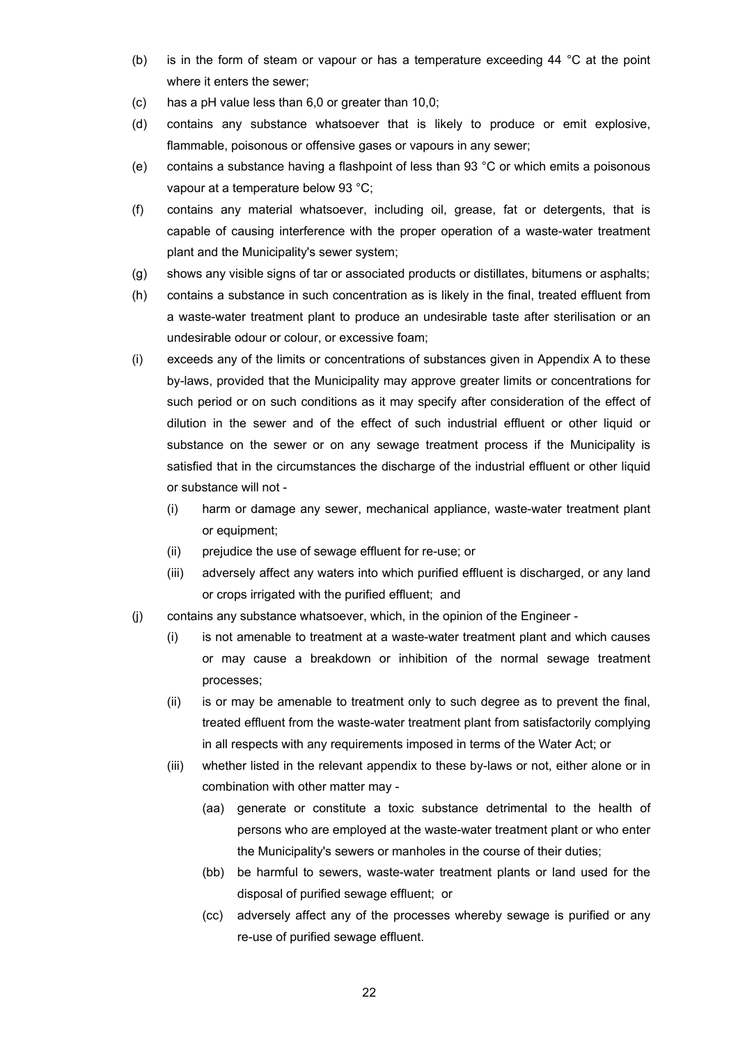- (b) is in the form of steam or vapour or has a temperature exceeding 44 °C at the point where it enters the sewer;
- (c) has a pH value less than 6,0 or greater than 10,0;
- (d) contains any substance whatsoever that is likely to produce or emit explosive, flammable, poisonous or offensive gases or vapours in any sewer;
- (e) contains a substance having a flashpoint of less than 93 °C or which emits a poisonous vapour at a temperature below 93 °C;
- (f) contains any material whatsoever, including oil, grease, fat or detergents, that is capable of causing interference with the proper operation of a waste-water treatment plant and the Municipality's sewer system;
- (g) shows any visible signs of tar or associated products or distillates, bitumens or asphalts;
- (h) contains a substance in such concentration as is likely in the final, treated effluent from a waste-water treatment plant to produce an undesirable taste after sterilisation or an undesirable odour or colour, or excessive foam;
- (i) exceeds any of the limits or concentrations of substances given in Appendix A to these by-laws, provided that the Municipality may approve greater limits or concentrations for such period or on such conditions as it may specify after consideration of the effect of dilution in the sewer and of the effect of such industrial effluent or other liquid or substance on the sewer or on any sewage treatment process if the Municipality is satisfied that in the circumstances the discharge of the industrial effluent or other liquid or substance will not -
	- (i) harm or damage any sewer, mechanical appliance, waste-water treatment plant or equipment;
	- (ii) prejudice the use of sewage effluent for re-use; or
	- (iii) adversely affect any waters into which purified effluent is discharged, or any land or crops irrigated with the purified effluent; and
- (j) contains any substance whatsoever, which, in the opinion of the Engineer
	- (i) is not amenable to treatment at a waste-water treatment plant and which causes or may cause a breakdown or inhibition of the normal sewage treatment processes;
	- (ii) is or may be amenable to treatment only to such degree as to prevent the final, treated effluent from the waste-water treatment plant from satisfactorily complying in all respects with any requirements imposed in terms of the Water Act; or
	- (iii) whether listed in the relevant appendix to these by-laws or not, either alone or in combination with other matter may -
		- (aa) generate or constitute a toxic substance detrimental to the health of persons who are employed at the waste-water treatment plant or who enter the Municipality's sewers or manholes in the course of their duties;
		- (bb) be harmful to sewers, waste-water treatment plants or land used for the disposal of purified sewage effluent; or
		- (cc) adversely affect any of the processes whereby sewage is purified or any re-use of purified sewage effluent.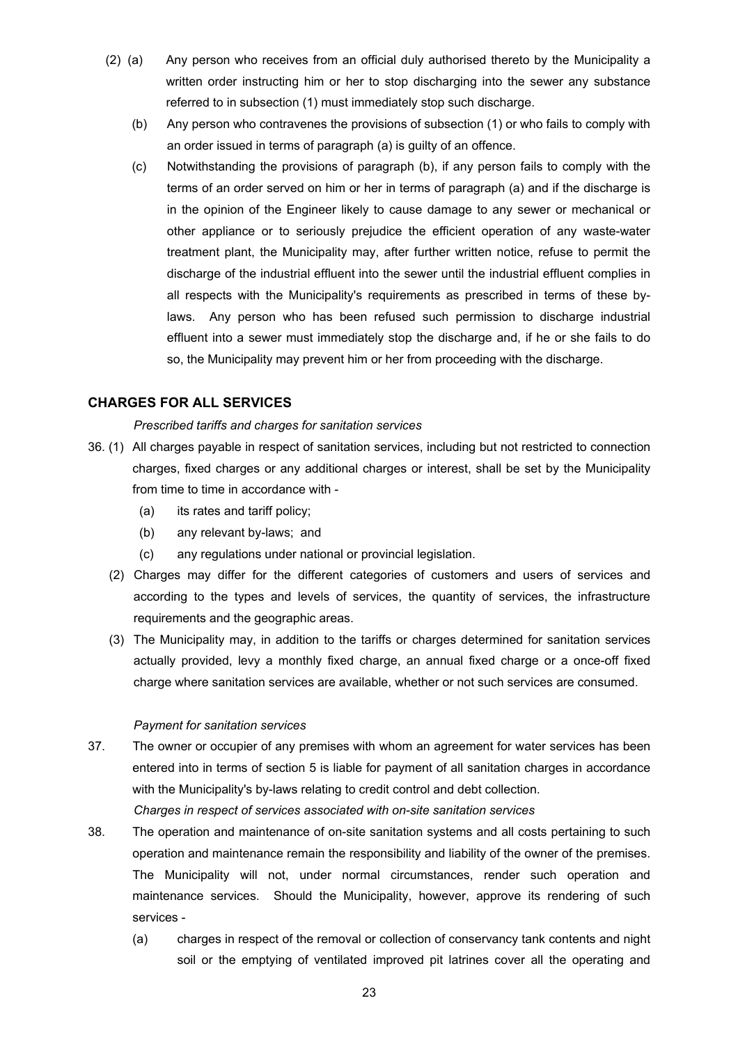- <span id="page-22-0"></span>(2) (a) Any person who receives from an official duly authorised thereto by the Municipality a written order instructing him or her to stop discharging into the sewer any substance referred to in subsection (1) must immediately stop such discharge.
	- (b) Any person who contravenes the provisions of subsection (1) or who fails to comply with an order issued in terms of paragraph (a) is guilty of an offence.
	- (c) Notwithstanding the provisions of paragraph (b), if any person fails to comply with the terms of an order served on him or her in terms of paragraph (a) and if the discharge is in the opinion of the Engineer likely to cause damage to any sewer or mechanical or other appliance or to seriously prejudice the efficient operation of any waste-water treatment plant, the Municipality may, after further written notice, refuse to permit the discharge of the industrial effluent into the sewer until the industrial effluent complies in all respects with the Municipality's requirements as prescribed in terms of these bylaws. Any person who has been refused such permission to discharge industrial effluent into a sewer must immediately stop the discharge and, if he or she fails to do so, the Municipality may prevent him or her from proceeding with the discharge.

# **CHARGES FOR ALL SERVICES**

#### *Prescribed tariffs and charges for sanitation services*

- 36. (1) All charges payable in respect of sanitation services, including but not restricted to connection charges, fixed charges or any additional charges or interest, shall be set by the Municipality from time to time in accordance with -
	- (a) its rates and tariff policy;
	- (b) any relevant by-laws; and
	- (c) any regulations under national or provincial legislation.
	- (2) Charges may differ for the different categories of customers and users of services and according to the types and levels of services, the quantity of services, the infrastructure requirements and the geographic areas.
	- (3) The Municipality may, in addition to the tariffs or charges determined for sanitation services actually provided, levy a monthly fixed charge, an annual fixed charge or a once-off fixed charge where sanitation services are available, whether or not such services are consumed.

#### *Payment for sanitation services*

- 37. The owner or occupier of any premises with whom an agreement for water services has been entered into in terms of section 5 is liable for payment of all sanitation charges in accordance with the Municipality's by-laws relating to credit control and debt collection. *Charges in respect of services associated with on-site sanitation services*
- 38. The operation and maintenance of on-site sanitation systems and all costs pertaining to such operation and maintenance remain the responsibility and liability of the owner of the premises. The Municipality will not, under normal circumstances, render such operation and maintenance services. Should the Municipality, however, approve its rendering of such services -
	- (a) charges in respect of the removal or collection of conservancy tank contents and night soil or the emptying of ventilated improved pit latrines cover all the operating and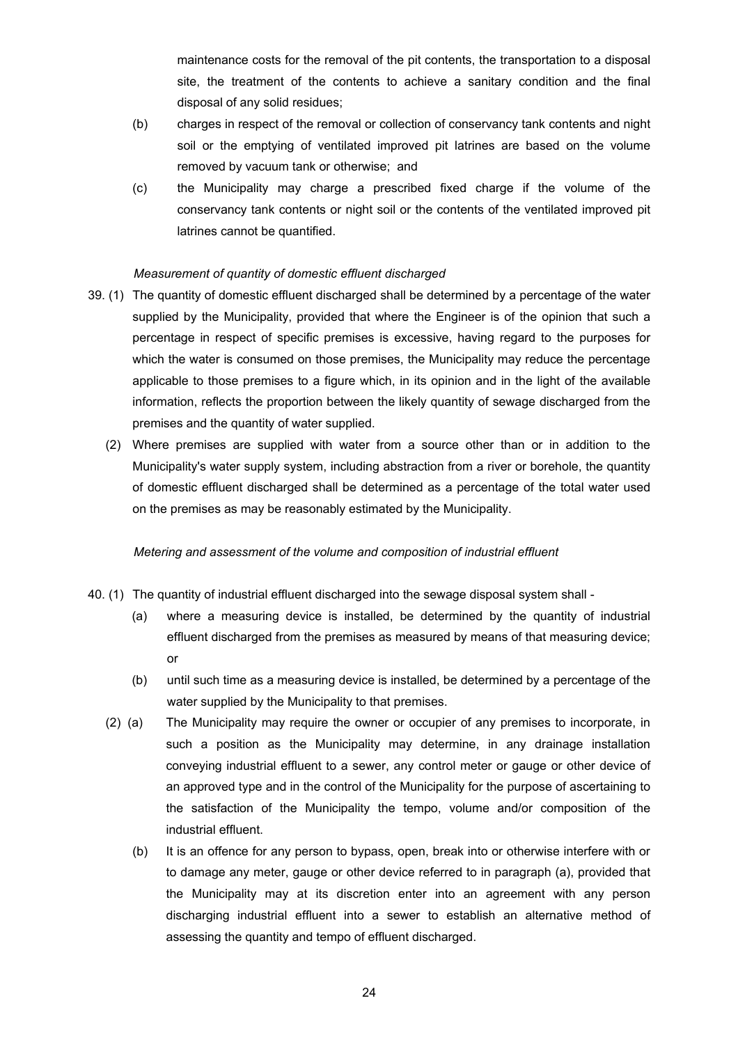maintenance costs for the removal of the pit contents, the transportation to a disposal site, the treatment of the contents to achieve a sanitary condition and the final disposal of any solid residues;

- <span id="page-23-0"></span>(b) charges in respect of the removal or collection of conservancy tank contents and night soil or the emptying of ventilated improved pit latrines are based on the volume removed by vacuum tank or otherwise; and
- (c) the Municipality may charge a prescribed fixed charge if the volume of the conservancy tank contents or night soil or the contents of the ventilated improved pit latrines cannot be quantified.

#### *Measurement of quantity of domestic effluent discharged*

- 39. (1) The quantity of domestic effluent discharged shall be determined by a percentage of the water supplied by the Municipality, provided that where the Engineer is of the opinion that such a percentage in respect of specific premises is excessive, having regard to the purposes for which the water is consumed on those premises, the Municipality may reduce the percentage applicable to those premises to a figure which, in its opinion and in the light of the available information, reflects the proportion between the likely quantity of sewage discharged from the premises and the quantity of water supplied.
	- (2) Where premises are supplied with water from a source other than or in addition to the Municipality's water supply system, including abstraction from a river or borehole, the quantity of domestic effluent discharged shall be determined as a percentage of the total water used on the premises as may be reasonably estimated by the Municipality.

#### *Metering and assessment of the volume and composition of industrial effluent*

- 40. (1) The quantity of industrial effluent discharged into the sewage disposal system shall
	- (a) where a measuring device is installed, be determined by the quantity of industrial effluent discharged from the premises as measured by means of that measuring device; or
	- (b) until such time as a measuring device is installed, be determined by a percentage of the water supplied by the Municipality to that premises.
	- (2) (a) The Municipality may require the owner or occupier of any premises to incorporate, in such a position as the Municipality may determine, in any drainage installation conveying industrial effluent to a sewer, any control meter or gauge or other device of an approved type and in the control of the Municipality for the purpose of ascertaining to the satisfaction of the Municipality the tempo, volume and/or composition of the industrial effluent.
		- (b) It is an offence for any person to bypass, open, break into or otherwise interfere with or to damage any meter, gauge or other device referred to in paragraph (a), provided that the Municipality may at its discretion enter into an agreement with any person discharging industrial effluent into a sewer to establish an alternative method of assessing the quantity and tempo of effluent discharged.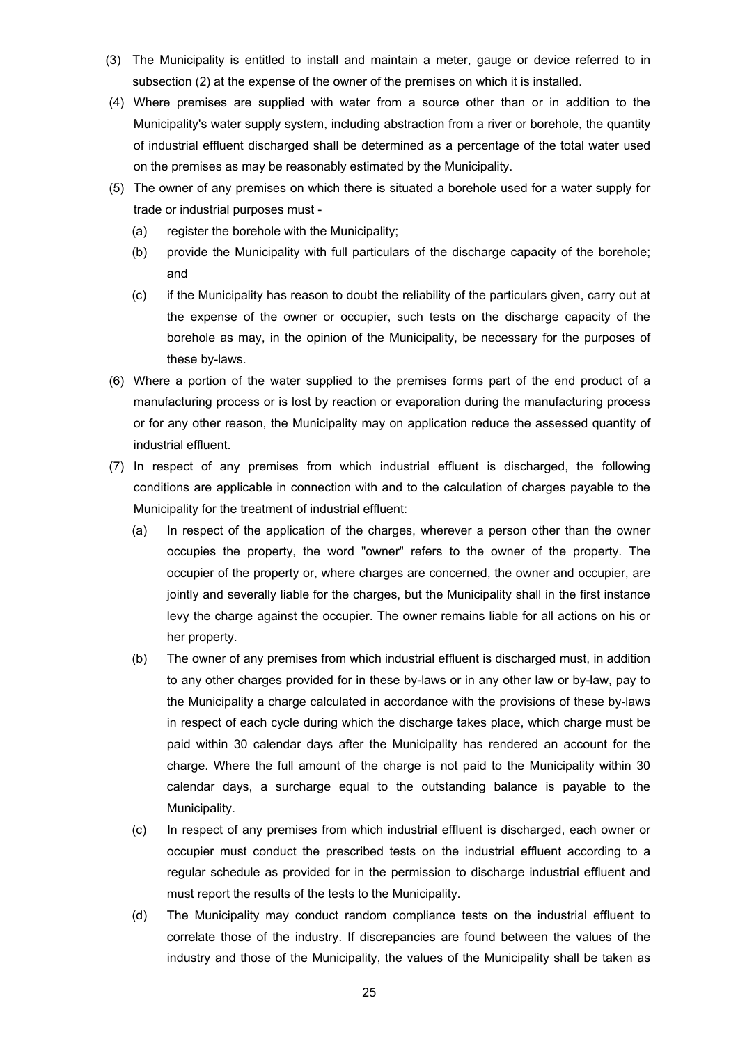- (3) The Municipality is entitled to install and maintain a meter, gauge or device referred to in subsection (2) at the expense of the owner of the premises on which it is installed.
- (4) Where premises are supplied with water from a source other than or in addition to the Municipality's water supply system, including abstraction from a river or borehole, the quantity of industrial effluent discharged shall be determined as a percentage of the total water used on the premises as may be reasonably estimated by the Municipality.
- (5) The owner of any premises on which there is situated a borehole used for a water supply for trade or industrial purposes must -
	- (a) register the borehole with the Municipality;
	- (b) provide the Municipality with full particulars of the discharge capacity of the borehole; and
	- (c) if the Municipality has reason to doubt the reliability of the particulars given, carry out at the expense of the owner or occupier, such tests on the discharge capacity of the borehole as may, in the opinion of the Municipality, be necessary for the purposes of these by-laws.
- (6) Where a portion of the water supplied to the premises forms part of the end product of a manufacturing process or is lost by reaction or evaporation during the manufacturing process or for any other reason, the Municipality may on application reduce the assessed quantity of industrial effluent.
- (7) In respect of any premises from which industrial effluent is discharged, the following conditions are applicable in connection with and to the calculation of charges payable to the Municipality for the treatment of industrial effluent:
	- (a) In respect of the application of the charges, wherever a person other than the owner occupies the property, the word "owner" refers to the owner of the property. The occupier of the property or, where charges are concerned, the owner and occupier, are jointly and severally liable for the charges, but the Municipality shall in the first instance levy the charge against the occupier. The owner remains liable for all actions on his or her property.
	- (b) The owner of any premises from which industrial effluent is discharged must, in addition to any other charges provided for in these by-laws or in any other law or by-law, pay to the Municipality a charge calculated in accordance with the provisions of these by-laws in respect of each cycle during which the discharge takes place, which charge must be paid within 30 calendar days after the Municipality has rendered an account for the charge. Where the full amount of the charge is not paid to the Municipality within 30 calendar days, a surcharge equal to the outstanding balance is payable to the Municipality.
	- (c) In respect of any premises from which industrial effluent is discharged, each owner or occupier must conduct the prescribed tests on the industrial effluent according to a regular schedule as provided for in the permission to discharge industrial effluent and must report the results of the tests to the Municipality.
	- (d) The Municipality may conduct random compliance tests on the industrial effluent to correlate those of the industry. If discrepancies are found between the values of the industry and those of the Municipality, the values of the Municipality shall be taken as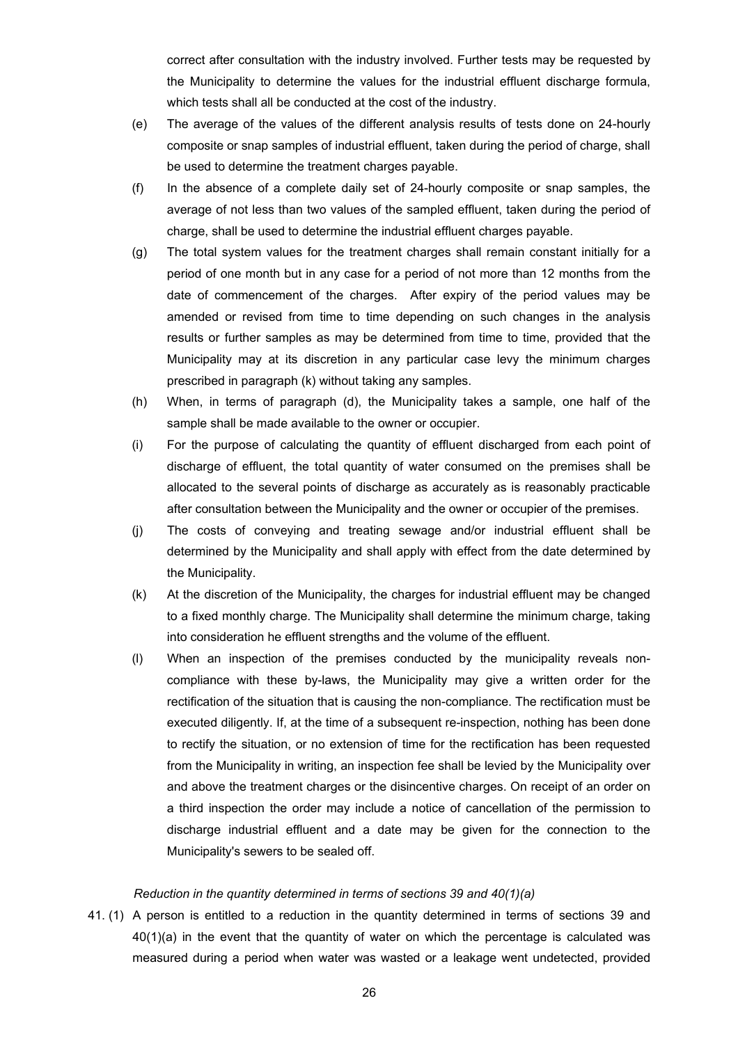<span id="page-25-0"></span>correct after consultation with the industry involved. Further tests may be requested by the Municipality to determine the values for the industrial effluent discharge formula, which tests shall all be conducted at the cost of the industry.

- (e) The average of the values of the different analysis results of tests done on 24-hourly composite or snap samples of industrial effluent, taken during the period of charge, shall be used to determine the treatment charges payable.
- (f) In the absence of a complete daily set of 24-hourly composite or snap samples, the average of not less than two values of the sampled effluent, taken during the period of charge, shall be used to determine the industrial effluent charges payable.
- (g) The total system values for the treatment charges shall remain constant initially for a period of one month but in any case for a period of not more than 12 months from the date of commencement of the charges. After expiry of the period values may be amended or revised from time to time depending on such changes in the analysis results or further samples as may be determined from time to time, provided that the Municipality may at its discretion in any particular case levy the minimum charges prescribed in paragraph (k) without taking any samples.
- (h) When, in terms of paragraph (d), the Municipality takes a sample, one half of the sample shall be made available to the owner or occupier.
- (i) For the purpose of calculating the quantity of effluent discharged from each point of discharge of effluent, the total quantity of water consumed on the premises shall be allocated to the several points of discharge as accurately as is reasonably practicable after consultation between the Municipality and the owner or occupier of the premises.
- (j) The costs of conveying and treating sewage and/or industrial effluent shall be determined by the Municipality and shall apply with effect from the date determined by the Municipality.
- (k) At the discretion of the Municipality, the charges for industrial effluent may be changed to a fixed monthly charge. The Municipality shall determine the minimum charge, taking into consideration he effluent strengths and the volume of the effluent.
- (l) When an inspection of the premises conducted by the municipality reveals noncompliance with these by-laws, the Municipality may give a written order for the rectification of the situation that is causing the non-compliance. The rectification must be executed diligently. If, at the time of a subsequent re-inspection, nothing has been done to rectify the situation, or no extension of time for the rectification has been requested from the Municipality in writing, an inspection fee shall be levied by the Municipality over and above the treatment charges or the disincentive charges. On receipt of an order on a third inspection the order may include a notice of cancellation of the permission to discharge industrial effluent and a date may be given for the connection to the Municipality's sewers to be sealed off.

#### *Reduction in the quantity determined in terms of sections 39 and 40(1)(a)*

41. (1) A person is entitled to a reduction in the quantity determined in terms of sections 39 and 40(1)(a) in the event that the quantity of water on which the percentage is calculated was measured during a period when water was wasted or a leakage went undetected, provided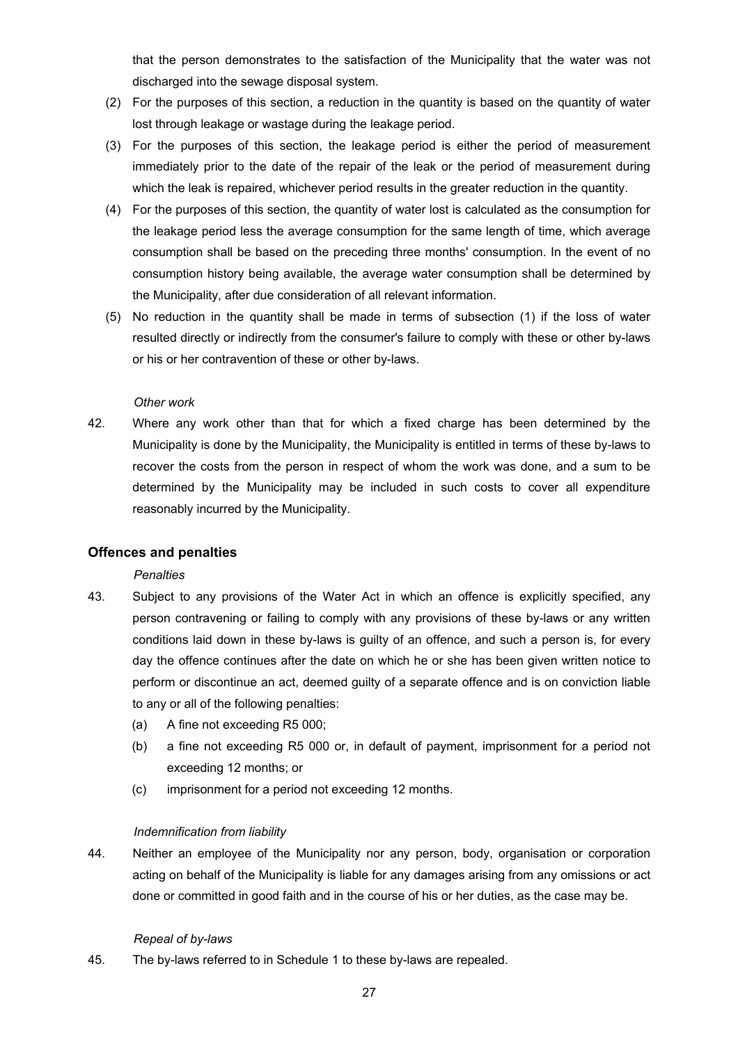that the person demonstrates to the satisfaction of the Municipality that the water was not discharged into the sewage disposal system.

- <span id="page-26-0"></span>(2) For the purposes of this section, a reduction in the quantity is based on the quantity of water lost through leakage or wastage during the leakage period.
- (3) For the purposes of this section, the leakage period is either the period of measurement immediately prior to the date of the repair of the leak or the period of measurement during which the leak is repaired, whichever period results in the greater reduction in the quantity.
- (4) For the purposes of this section, the quantity of water lost is calculated as the consumption for the leakage period less the average consumption for the same length of time, which average consumption shall be based on the preceding three months' consumption. In the event of no consumption history being available, the average water consumption shall be determined by the Municipality, after due consideration of all relevant information.
- (5) No reduction in the quantity shall be made in terms of subsection (1) if the loss of water resulted directly or indirectly from the consumer's failure to comply with these or other by-laws or his or her contravention of these or other by-laws.

#### *Other work*

42. Where any work other than that for which a fixed charge has been determined by the Municipality is done by the Municipality, the Municipality is entitled in terms of these by-laws to recover the costs from the person in respect of whom the work was done, and a sum to be determined by the Municipality may be included in such costs to cover all expenditure reasonably incurred by the Municipality.

# **Offences and penalties**

#### *Penalties*

- 43. Subject to any provisions of the Water Act in which an offence is explicitly specified, any person contravening or failing to comply with any provisions of these by-laws or any written conditions laid down in these by-laws is guilty of an offence, and such a person is, for every day the offence continues after the date on which he or she has been given written notice to perform or discontinue an act, deemed guilty of a separate offence and is on conviction liable to any or all of the following penalties:
	- (a) A fine not exceeding R5 000;
	- (b) a fine not exceeding R5 000 or, in default of payment, imprisonment for a period not exceeding 12 months; or
	- (c) imprisonment for a period not exceeding 12 months.

#### *Indemnification from liability*

44. Neither an employee of the Municipality nor any person, body, organisation or corporation acting on behalf of the Municipality is liable for any damages arising from any omissions or act done or committed in good faith and in the course of his or her duties, as the case may be.

#### *Repeal of by-laws*

45. The by-laws referred to in Schedule 1 to these by-laws are repealed.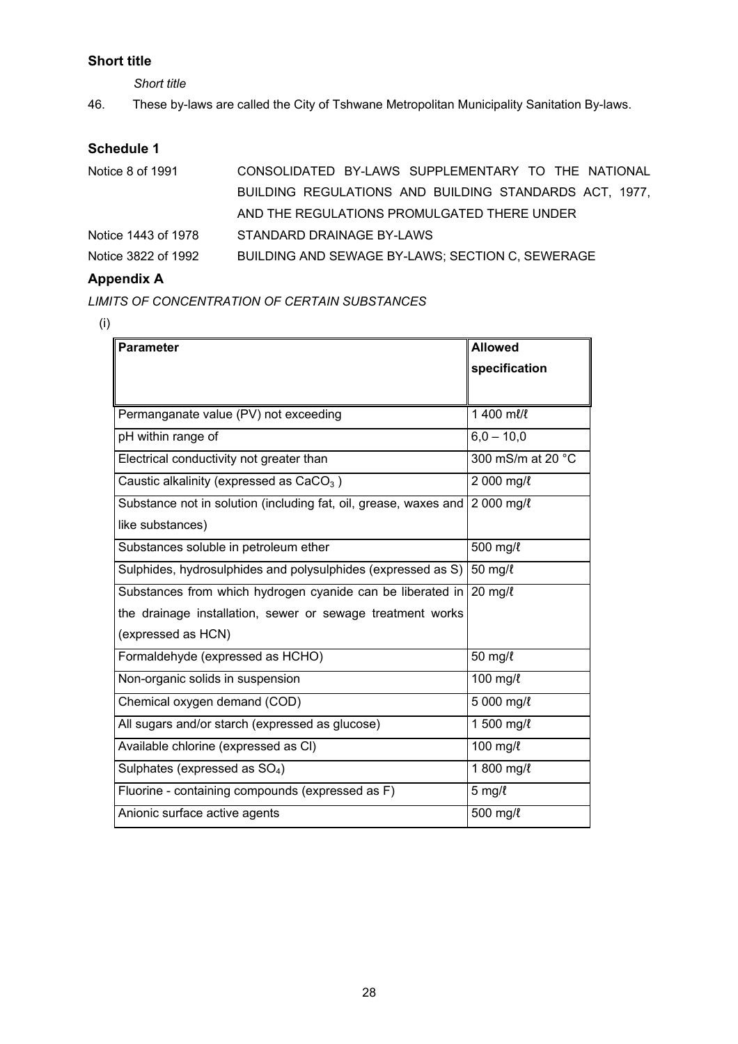# <span id="page-27-0"></span>**Short title**

*Short title* 

46. These by-laws are called the City of Tshwane Metropolitan Municipality Sanitation By-laws.

# **Schedule 1**

| Notice 8 of 1991    | CONSOLIDATED BY-LAWS SUPPLEMENTARY TO THE NATIONAL     |
|---------------------|--------------------------------------------------------|
|                     | BUILDING REGULATIONS AND BUILDING STANDARDS ACT, 1977, |
|                     | AND THE REGULATIONS PROMULGATED THERE UNDER            |
| Notice 1443 of 1978 | STANDARD DRAINAGE BY-LAWS                              |
| Notice 3822 of 1992 | BUILDING AND SEWAGE BY-LAWS; SECTION C, SEWERAGE       |

# **Appendix A**

*LIMITS OF CONCENTRATION OF CERTAIN SUBSTANCES* 

<sup>(</sup>i)

| <b>Parameter</b>                                                 | <b>Allowed</b>    |
|------------------------------------------------------------------|-------------------|
|                                                                  | specification     |
|                                                                  |                   |
| Permanganate value (PV) not exceeding                            | 1 400 ml/l        |
| pH within range of                                               | $6.0 - 10.0$      |
| Electrical conductivity not greater than                         | 300 mS/m at 20 °C |
| Caustic alkalinity (expressed as $CaCO3$ )                       | 2 000 mg/l        |
| Substance not in solution (including fat, oil, grease, waxes and | 2 000 mg/l        |
| like substances)                                                 |                   |
| Substances soluble in petroleum ether                            | 500 mg/l          |
| Sulphides, hydrosulphides and polysulphides (expressed as S)     | 50 mg/l           |
| Substances from which hydrogen cyanide can be liberated in       | $20$ mg/ $\ell$   |
| the drainage installation, sewer or sewage treatment works       |                   |
| (expressed as HCN)                                               |                   |
| Formaldehyde (expressed as HCHO)                                 | 50 mg/l           |
| Non-organic solids in suspension                                 | 100 mg/l          |
| Chemical oxygen demand (COD)                                     | $5000$ mg/ $l$    |
| All sugars and/or starch (expressed as glucose)                  | 1 500 mg/l        |
| Available chlorine (expressed as CI)                             | 100 mg/l          |
| Sulphates (expressed as SO <sub>4</sub> )                        | 1 800 mg/l        |
| Fluorine - containing compounds (expressed as F)                 | $5$ mg/ $\ell$    |
| Anionic surface active agents                                    | 500 mg/l          |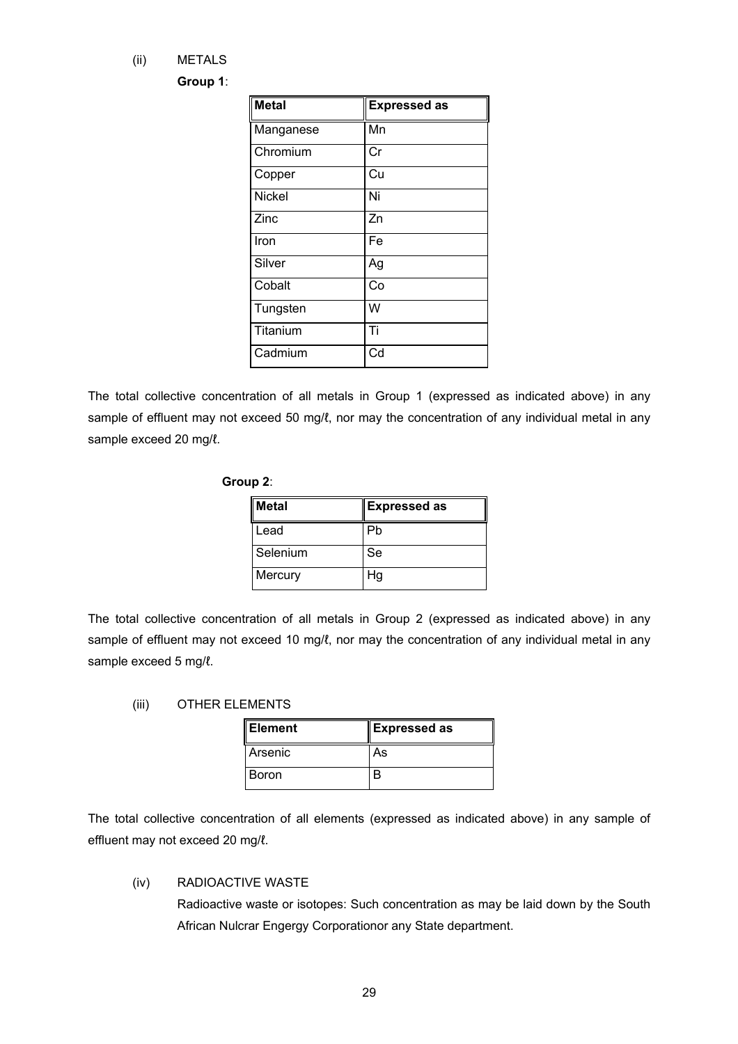(ii) METALS

#### **Group 1**:

| <b>Metal</b>  | <b>Expressed as</b> |
|---------------|---------------------|
| Manganese     | Mn                  |
| Chromium      | Cr                  |
| Copper        | Cu                  |
| <b>Nickel</b> | Ni                  |
| Zinc          | Zn                  |
| Iron          | Fe                  |
| Silver        | Ag                  |
| Cobalt        | Co                  |
| Tungsten      | W                   |
| Titanium      | Ti                  |
| Cadmium       | Cd                  |

The total collective concentration of all metals in Group 1 (expressed as indicated above) in any sample of effluent may not exceed 50 mg/ℓ, nor may the concentration of any individual metal in any sample exceed 20 mg/l.

## **Group 2**:

| Metal    | <b>Expressed as</b> |
|----------|---------------------|
| Lead     | Ph                  |
| Selenium | Se                  |
| Mercury  | Hg                  |

The total collective concentration of all metals in Group 2 (expressed as indicated above) in any sample of effluent may not exceed 10 mg/l, nor may the concentration of any individual metal in any sample exceed 5 mg/l.

#### (iii) OTHER ELEMENTS

| ∥Element     | Expressed as |
|--------------|--------------|
| Arsenic      | As           |
| <b>Boron</b> |              |

The total collective concentration of all elements (expressed as indicated above) in any sample of effluent may not exceed 20 mg/ℓ.

## (iv) RADIOACTIVE WASTE

Radioactive waste or isotopes: Such concentration as may be laid down by the South African Nulcrar Engergy Corporationor any State department.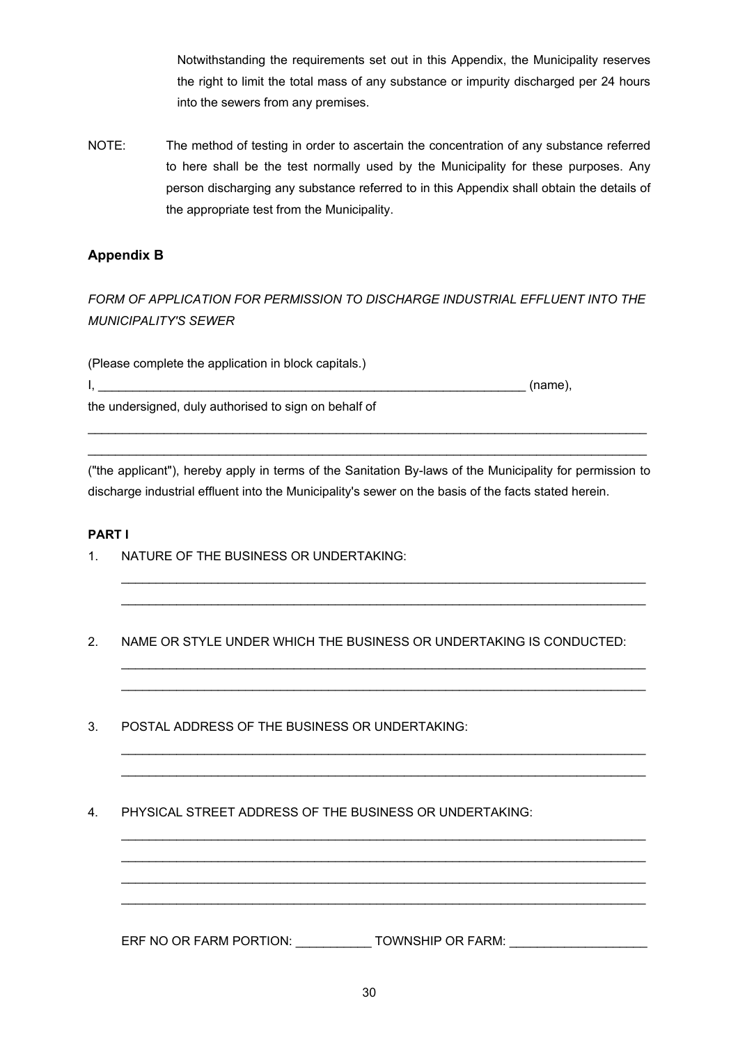Notwithstanding the requirements set out in this Appendix, the Municipality reserves the right to limit the total mass of any substance or impurity discharged per 24 hours into the sewers from any premises.

<span id="page-29-0"></span>NOTE: The method of testing in order to ascertain the concentration of any substance referred to here shall be the test normally used by the Municipality for these purposes. Any person discharging any substance referred to in this Appendix shall obtain the details of the appropriate test from the Municipality.

# **Appendix B**

# *FORM OF APPLICATION FOR PERMISSION TO DISCHARGE INDUSTRIAL EFFLUENT INTO THE MUNICIPALITY'S SEWER*

(Please complete the application in block capitals.)

 $I,$   $\hspace{0.5cm}$  (name),  $\hspace{0.5cm}$ 

the undersigned, duly authorised to sign on behalf of

("the applicant"), hereby apply in terms of the Sanitation By-laws of the Municipality for permission to discharge industrial effluent into the Municipality's sewer on the basis of the facts stated herein.

 $\mathcal{L}_\text{max}$  , and the set of the set of the set of the set of the set of the set of the set of the set of the set of the set of the set of the set of the set of the set of the set of the set of the set of the set of the  $\mathcal{L}_\text{max}$  , and the set of the set of the set of the set of the set of the set of the set of the set of the set of the set of the set of the set of the set of the set of the set of the set of the set of the set of the

 $\mathcal{L}_\text{max}$  , and the set of the set of the set of the set of the set of the set of the set of the set of the set of the set of the set of the set of the set of the set of the set of the set of the set of the set of the  $\mathcal{L}_\text{max}$  , and the set of the set of the set of the set of the set of the set of the set of the set of the set of the set of the set of the set of the set of the set of the set of the set of the set of the set of the

 $\mathcal{L}_\text{max}$  , and the set of the set of the set of the set of the set of the set of the set of the set of the set of the set of the set of the set of the set of the set of the set of the set of the set of the set of the  $\mathcal{L}_\text{max}$  , and the set of the set of the set of the set of the set of the set of the set of the set of the set of the set of the set of the set of the set of the set of the set of the set of the set of the set of the

 $\mathcal{L}_\text{max}$  , and the set of the set of the set of the set of the set of the set of the set of the set of the set of the set of the set of the set of the set of the set of the set of the set of the set of the set of the  $\mathcal{L}_\text{max}$  , and the set of the set of the set of the set of the set of the set of the set of the set of the set of the set of the set of the set of the set of the set of the set of the set of the set of the set of the  $\mathcal{L}_\text{max}$  , and the set of the set of the set of the set of the set of the set of the set of the set of the set of the set of the set of the set of the set of the set of the set of the set of the set of the set of the  $\mathcal{L}_\text{max}$  , and the set of the set of the set of the set of the set of the set of the set of the set of the set of the set of the set of the set of the set of the set of the set of the set of the set of the set of the

 $\mathcal{L}_\text{max}$  , and the set of the set of the set of the set of the set of the set of the set of the set of the set of the set of the set of the set of the set of the set of the set of the set of the set of the set of the  $\_$  ,  $\_$  ,  $\_$  ,  $\_$  ,  $\_$  ,  $\_$  ,  $\_$  ,  $\_$  ,  $\_$  ,  $\_$  ,  $\_$  ,  $\_$  ,  $\_$  ,  $\_$  ,  $\_$  ,  $\_$  ,  $\_$  ,  $\_$  ,  $\_$  ,  $\_$  ,  $\_$  ,  $\_$  ,  $\_$  ,  $\_$  ,  $\_$  ,  $\_$  ,  $\_$  ,  $\_$  ,  $\_$  ,  $\_$  ,  $\_$  ,  $\_$  ,  $\_$  ,  $\_$  ,  $\_$  ,  $\_$  ,  $\_$  ,

#### **PART I**

- 1. NATURE OF THE BUSINESS OR UNDERTAKING:
- 2. NAME OR STYLE UNDER WHICH THE BUSINESS OR UNDERTAKING IS CONDUCTED:
- 3. POSTAL ADDRESS OF THE BUSINESS OR UNDERTAKING:
- 4. PHYSICAL STREET ADDRESS OF THE BUSINESS OR UNDERTAKING:

ERF NO OR FARM PORTION: \_\_\_\_\_\_\_\_\_\_\_\_ TOWNSHIP OR FARM: \_\_\_\_\_\_\_\_\_\_\_\_\_\_\_\_\_\_\_\_\_\_\_\_\_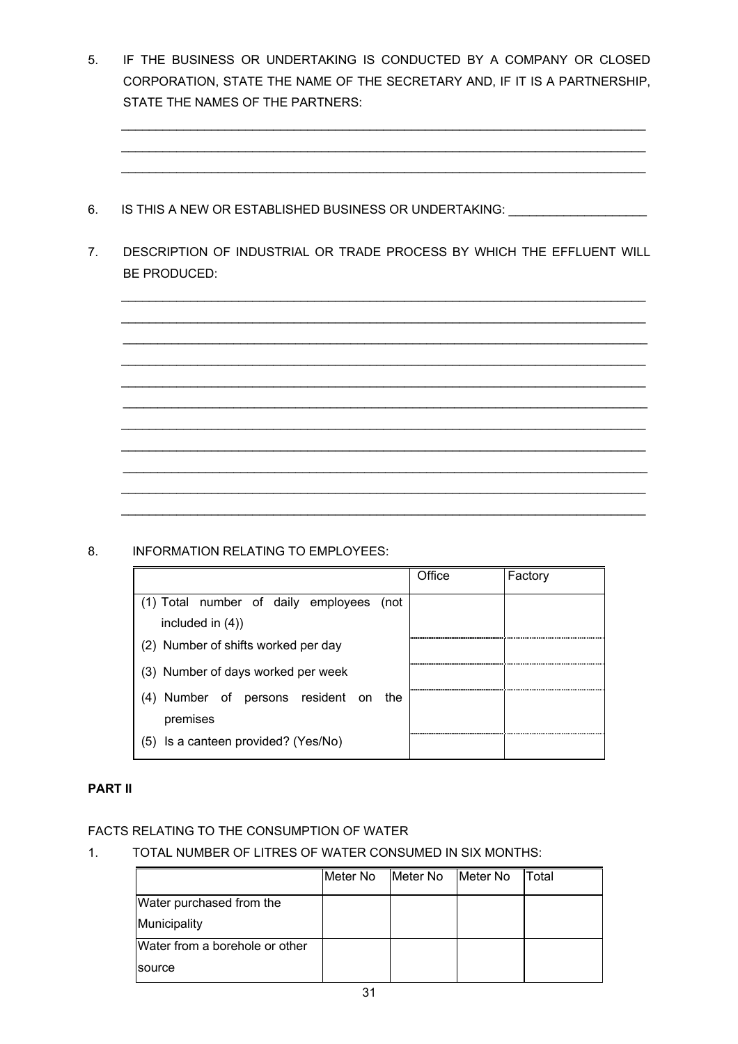5. IF THE BUSINESS OR UNDERTAKING IS CONDUCTED BY A COMPANY OR CLOSED CORPORATION, STATE THE NAME OF THE SECRETARY AND, IF IT IS A PARTNERSHIP, STATE THE NAMES OF THE PARTNERS:

 $\_$  ,  $\_$  ,  $\_$  ,  $\_$  ,  $\_$  ,  $\_$  ,  $\_$  ,  $\_$  ,  $\_$  ,  $\_$  ,  $\_$  ,  $\_$  ,  $\_$  ,  $\_$  ,  $\_$  ,  $\_$  ,  $\_$  ,  $\_$  ,  $\_$  ,  $\_$  ,  $\_$  ,  $\_$  ,  $\_$  ,  $\_$  ,  $\_$  ,  $\_$  ,  $\_$  ,  $\_$  ,  $\_$  ,  $\_$  ,  $\_$  ,  $\_$  ,  $\_$  ,  $\_$  ,  $\_$  ,  $\_$  ,  $\_$  ,  $\_$  ,  $\_$  ,  $\_$  ,  $\_$  ,  $\_$  ,  $\_$  ,  $\_$  ,  $\_$  ,  $\_$  ,  $\_$  ,  $\_$  ,  $\_$  ,  $\_$  ,  $\_$  ,  $\_$  ,  $\_$  ,  $\_$  ,  $\_$  ,  $\_$  ,  $\_$  ,  $\_$  ,  $\_$  ,  $\_$  ,  $\_$  ,  $\_$  ,  $\_$  ,  $\_$  ,  $\_$  ,  $\_$  ,  $\_$  ,  $\_$  ,  $\_$  ,  $\_$  ,  $\_$  ,  $\_$  ,  $\_$  ,  $\_$  ,  $\_$  ,  $\_$  ,  $\_$  ,  $\_$  ,  $\_$  ,  $\_$  ,  $\_$  ,  $\_$  ,  $\_$  ,  $\_$  ,  $\_$  ,  $\_$  ,  $\_$  ,  $\_$  ,  $\_$  ,  $\_$  ,  $\_$  ,  $\_$  ,  $\_$  ,  $\_$  ,  $\_$  ,  $\_$  ,  $\_$  ,  $\_$  ,  $\_$  ,  $\_$  ,  $\_$  ,  $\_$  ,  $\_$  ,  $\_$  ,  $\_$  ,  $\_$  ,  $\_$  ,  $\_$  ,  $\_$  ,  $\_$  ,  $\_$  ,

- 6. IS THIS A NEW OR ESTABLISHED BUSINESS OR UNDERTAKING: UNDERTAKING:
- 7. DESCRIPTION OF INDUSTRIAL OR TRADE PROCESS BY WHICH THE EFFLUENT WILL BE PRODUCED:

\_\_\_\_\_\_\_\_\_\_\_\_\_\_\_\_\_\_\_\_\_\_\_\_\_\_\_\_\_\_\_\_\_\_\_\_\_\_\_\_\_\_\_\_\_\_\_\_\_\_\_\_\_\_\_\_\_\_\_\_\_\_\_\_\_\_\_\_\_\_\_\_\_\_\_\_



8. INFORMATION RELATING TO EMPLOYEES:

|                                        | Office | Factory |
|----------------------------------------|--------|---------|
| Total number of daily employees (not   |        |         |
| included in $(4)$ )                    |        |         |
| (2) Number of shifts worked per day    |        |         |
| (3) Number of days worked per week     |        |         |
| Number of persons resident on the      |        |         |
| premises                               |        |         |
| Is a canteen provided? (Yes/No)<br>(5) |        |         |

# **PART II**

# FACTS RELATING TO THE CONSUMPTION OF WATER

# 1. TOTAL NUMBER OF LITRES OF WATER CONSUMED IN SIX MONTHS:

|                                | Meter No | Meter No | Meter No | Total |
|--------------------------------|----------|----------|----------|-------|
| Water purchased from the       |          |          |          |       |
| Municipality                   |          |          |          |       |
| Water from a borehole or other |          |          |          |       |
| source                         |          |          |          |       |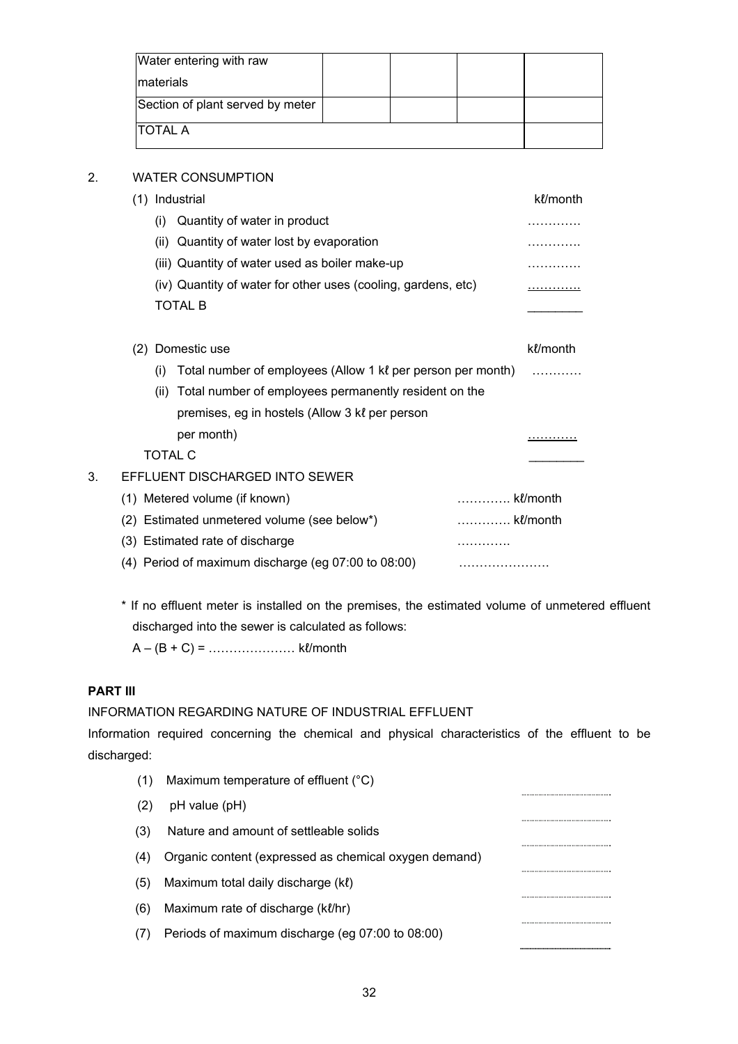| Water entering with raw          |  |  |
|----------------------------------|--|--|
| <b>Imaterials</b>                |  |  |
| Section of plant served by meter |  |  |
| <b>ITOTAL A</b>                  |  |  |

## 2. WATER CONSUMPTION

|    | (1) Industrial                                      |      |                                                               |          | kl/month |
|----|-----------------------------------------------------|------|---------------------------------------------------------------|----------|----------|
|    |                                                     | (i)  | Quantity of water in product                                  |          | .        |
|    |                                                     | (ii) | Quantity of water lost by evaporation                         |          |          |
|    |                                                     |      | (iii) Quantity of water used as boiler make-up                |          |          |
|    |                                                     |      | (iv) Quantity of water for other uses (cooling, gardens, etc) |          | .        |
|    |                                                     |      | <b>TOTAL B</b>                                                |          |          |
|    |                                                     |      |                                                               |          |          |
|    | (2) Domestic use                                    |      |                                                               |          | kl/month |
|    |                                                     | (1)  | Total number of employees (Allow 1 kl per person per month)   |          |          |
|    |                                                     | (ii) | Total number of employees permanently resident on the         |          |          |
|    |                                                     |      | premises, eg in hostels (Allow 3 kl per person                |          |          |
|    |                                                     |      | per month)                                                    |          |          |
|    |                                                     |      | <b>TOTAL C</b>                                                |          |          |
| 3. |                                                     |      | EFFLUENT DISCHARGED INTO SEWER                                |          |          |
|    |                                                     |      | (1) Metered volume (if known)                                 | kl/month |          |
|    | (2)                                                 |      | Estimated unmetered volume (see below*)                       | kl/month |          |
|    |                                                     |      | (3) Estimated rate of discharge                               |          |          |
|    | (4) Period of maximum discharge (eg 07:00 to 08:00) |      |                                                               |          |          |

\* If no effluent meter is installed on the premises, the estimated volume of unmetered effluent discharged into the sewer is calculated as follows:

A – (B + C) = ………………… kℓ/month

# **PART III**

INFORMATION REGARDING NATURE OF INDUSTRIAL EFFLUENT

Information required concerning the chemical and physical characteristics of the effluent to be discharged:

|     | Maximum temperature of effluent (°C)                  |  |
|-----|-------------------------------------------------------|--|
| (2) | pH value (pH)                                         |  |
| (3) | Nature and amount of settleable solids                |  |
| (4) | Organic content (expressed as chemical oxygen demand) |  |
| (5) | Maximum total daily discharge (kl)                    |  |
| (6) | Maximum rate of discharge (kl/hr)                     |  |
|     | Periods of maximum discharge (eg 07:00 to 08:00)      |  |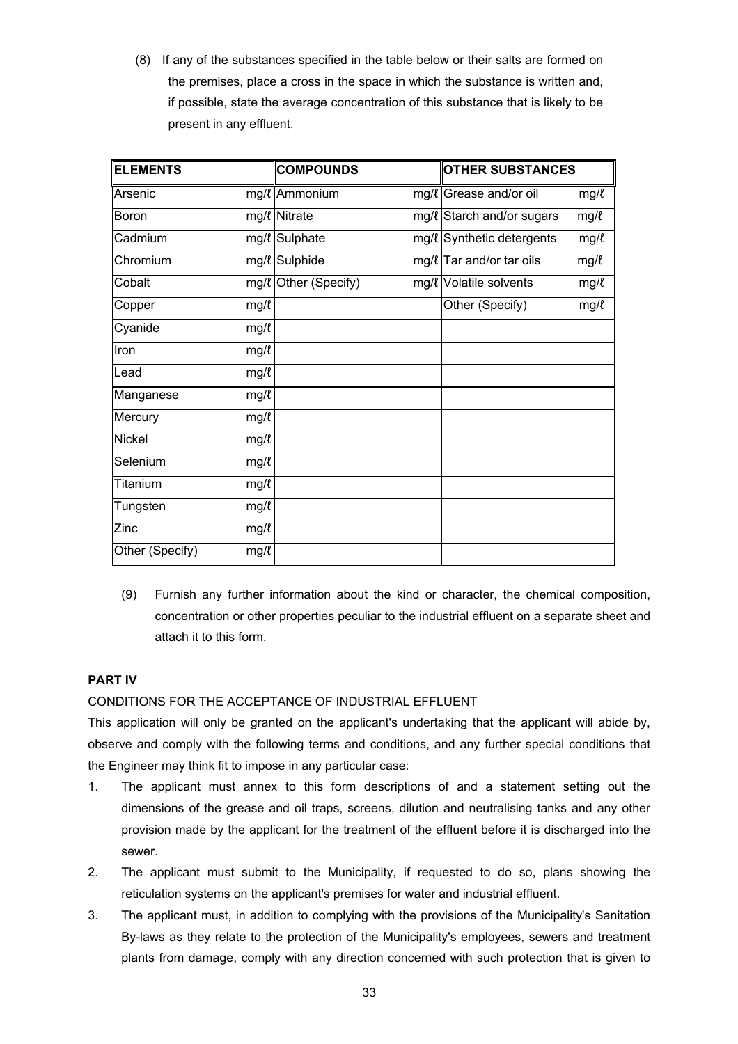(8) If any of the substances specified in the table below or their salts are formed on the premises, place a cross in the space in which the substance is written and, if possible, state the average concentration of this substance that is likely to be present in any effluent.

| <b>ELEMENTS</b> |      | <b>COMPOUNDS</b>     | <b>OTHER SUBSTANCES</b>    |      |
|-----------------|------|----------------------|----------------------------|------|
| Arsenic         |      | mg/l Ammonium        | mg/l Grease and/or oil     | mg/l |
| Boron           |      | mg/l Nitrate         | mg/l Starch and/or sugars  | mg/l |
| Cadmium         |      | mg/l Sulphate        | mg/l Synthetic detergents  | mg/l |
| Chromium        |      | mg/l Sulphide        | $mg/l$ Tar and/or tar oils | mg/l |
| Cobalt          |      | mg/l Other (Specify) | mg/l Volatile solvents     | mg/l |
| Copper          | mg/l |                      | Other (Specify)            | mg/l |
| Cyanide         | mg/l |                      |                            |      |
| Iron            | mg/l |                      |                            |      |
| Lead            | mg/l |                      |                            |      |
| Manganese       | mg/l |                      |                            |      |
| Mercury         | mg/l |                      |                            |      |
| <b>Nickel</b>   | mg/l |                      |                            |      |
| Selenium        | mg/l |                      |                            |      |
| <b>Titanium</b> | mg/l |                      |                            |      |
| Tungsten        | mg/l |                      |                            |      |
| Zinc            | mg/l |                      |                            |      |
| Other (Specify) | mg/l |                      |                            |      |

(9) Furnish any further information about the kind or character, the chemical composition, concentration or other properties peculiar to the industrial effluent on a separate sheet and attach it to this form.

# **PART IV**

# CONDITIONS FOR THE ACCEPTANCE OF INDUSTRIAL EFFLUENT

This application will only be granted on the applicant's undertaking that the applicant will abide by, observe and comply with the following terms and conditions, and any further special conditions that the Engineer may think fit to impose in any particular case:

- 1. The applicant must annex to this form descriptions of and a statement setting out the dimensions of the grease and oil traps, screens, dilution and neutralising tanks and any other provision made by the applicant for the treatment of the effluent before it is discharged into the sewer.
- 2. The applicant must submit to the Municipality, if requested to do so, plans showing the reticulation systems on the applicant's premises for water and industrial effluent.
- 3. The applicant must, in addition to complying with the provisions of the Municipality's Sanitation By-laws as they relate to the protection of the Municipality's employees, sewers and treatment plants from damage, comply with any direction concerned with such protection that is given to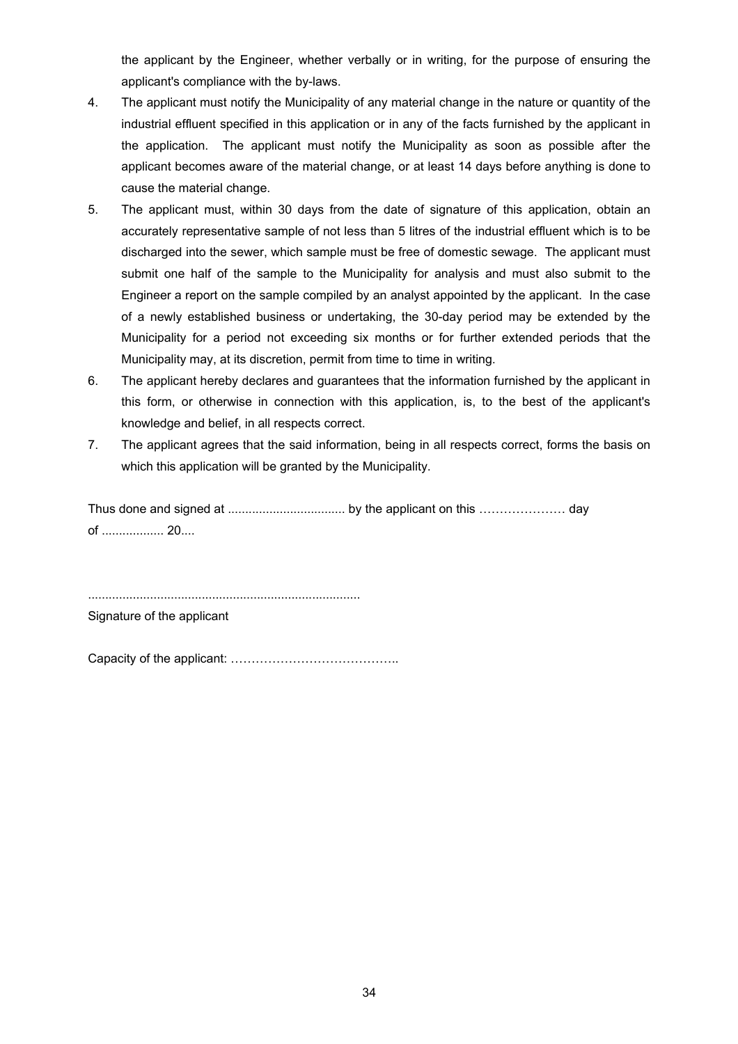the applicant by the Engineer, whether verbally or in writing, for the purpose of ensuring the applicant's compliance with the by-laws.

- 4. The applicant must notify the Municipality of any material change in the nature or quantity of the industrial effluent specified in this application or in any of the facts furnished by the applicant in the application. The applicant must notify the Municipality as soon as possible after the applicant becomes aware of the material change, or at least 14 days before anything is done to cause the material change.
- 5. The applicant must, within 30 days from the date of signature of this application, obtain an accurately representative sample of not less than 5 litres of the industrial effluent which is to be discharged into the sewer, which sample must be free of domestic sewage. The applicant must submit one half of the sample to the Municipality for analysis and must also submit to the Engineer a report on the sample compiled by an analyst appointed by the applicant. In the case of a newly established business or undertaking, the 30-day period may be extended by the Municipality for a period not exceeding six months or for further extended periods that the Municipality may, at its discretion, permit from time to time in writing.
- 6. The applicant hereby declares and guarantees that the information furnished by the applicant in this form, or otherwise in connection with this application, is, to the best of the applicant's knowledge and belief, in all respects correct.
- 7. The applicant agrees that the said information, being in all respects correct, forms the basis on which this application will be granted by the Municipality.

Thus done and signed at .................................. by the applicant on this ………………… day of .................. 20....

Signature of the applicant

Capacity of the applicant: …………………………………..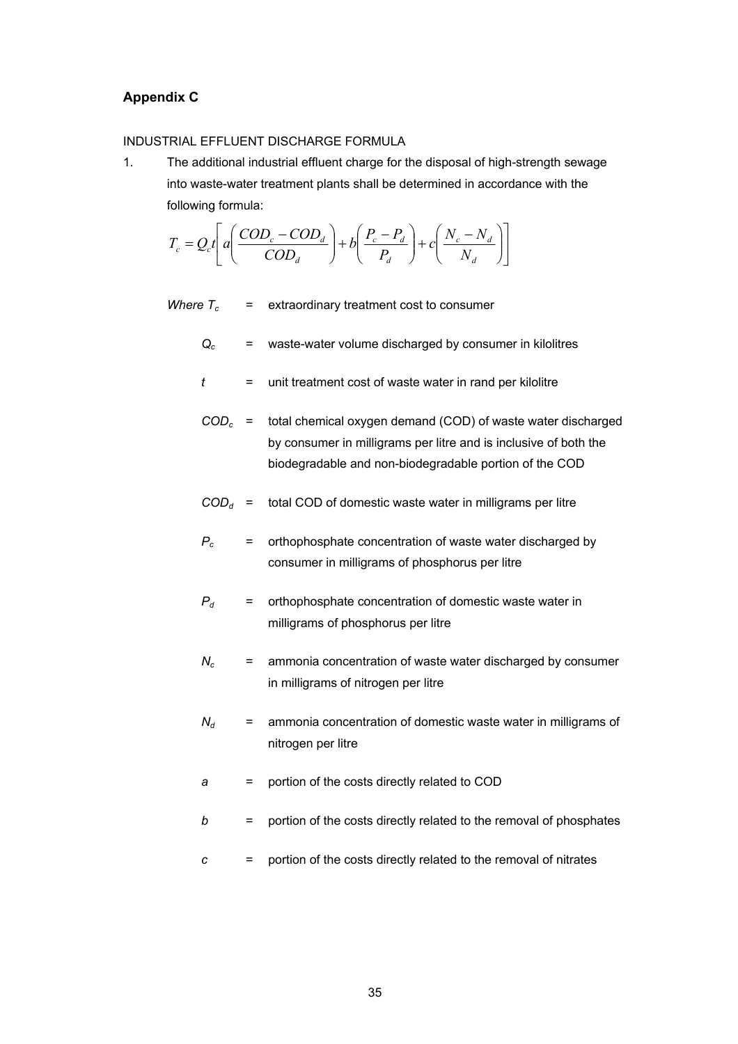#### <span id="page-34-0"></span>**Appendix C**

#### INDUSTRIAL EFFLUENT DISCHARGE FORMULA

1. The additional industrial effluent charge for the disposal of high-strength sewage into waste-water treatment plants shall be determined in accordance with the following formula:

$$
T_c = Q_c t \left[ a \left( \frac{COD_c - COD_d}{COD_d} \right) + b \left( \frac{P_c - P_d}{P_d} \right) + c \left( \frac{N_c - N_d}{N_d} \right) \right]
$$

*Where*  $T_c$  = extraordinary treatment cost to consumer

- *Qc* = waste-water volume discharged by consumer in kilolitres
- *t* = unit treatment cost of waste water in rand per kilolitre
- *CODc* = total chemical oxygen demand (COD) of waste water discharged by consumer in milligrams per litre and is inclusive of both the biodegradable and non-biodegradable portion of the COD
- $COD<sub>d</sub>$  = total COD of domestic waste water in milligrams per litre
- *Pc* = orthophosphate concentration of waste water discharged by consumer in milligrams of phosphorus per litre
- $P_d$  = orthophosphate concentration of domestic waste water in milligrams of phosphorus per litre
- *Nc* = ammonia concentration of waste water discharged by consumer in milligrams of nitrogen per litre
- $N_d$  = ammonia concentration of domestic waste water in milligrams of nitrogen per litre
- *a* = portion of the costs directly related to COD
- *b* = portion of the costs directly related to the removal of phosphates
- *c* = portion of the costs directly related to the removal of nitrates